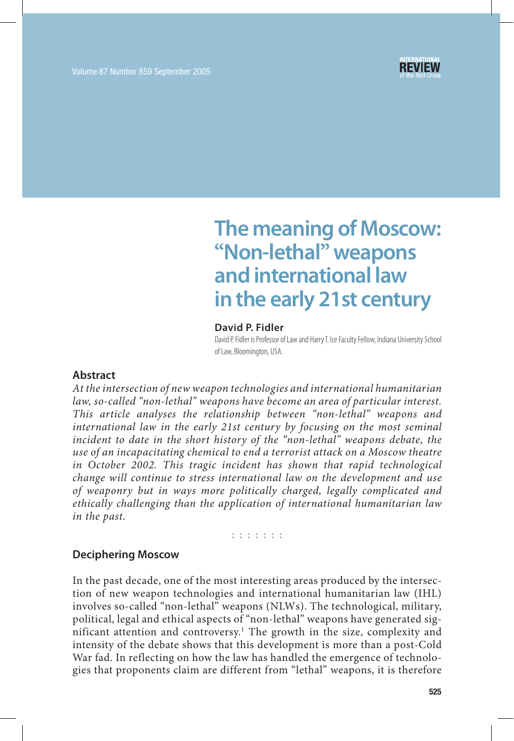# **The meaning of Moscow: "Non-lethal" weapons and international law in the early 21st century**

#### **David P. Fidler**

David P. Fidler is Professor of Law and Harry T. Ice Faculty Fellow, Indiana University School of Law, Bloomington, USA.

#### **Abstract**

*At the intersection of new weapon technologies and international humanitarian law, so-called "non-lethal" weapons have become an area of particular interest. This article analyses the relationship between "non-lethal" weapons and*  international law in the early 21st century by focusing on the most seminal incident to date in the short history of the "non-lethal" weapons debate, the *use of an incapacitating chemical to end a terrorist attack on a Moscow theatre in October 2002. This tragic incident has shown that rapid technological change will continue to stress international law on the development and use of weaponry but in ways more politically charged, legally complicated and ethically challenging than the application of international humanitarian law in the past.*

**: : : : : : :**

#### **Deciphering Moscow**

In the past decade, one of the most interesting areas produced by the intersection of new weapon technologies and international humanitarian law (IHL) involves so-called "non-lethal" weapons (NLWs). The technological, military, political, legal and ethical aspects of "non-lethal" weapons have generated significant attention and controversy.<sup>1</sup> The growth in the size, complexity and intensity of the debate shows that this development is more than a post-Cold War fad. In reflecting on how the law has handled the emergence of technologies that proponents claim are different from "lethal" weapons, it is therefore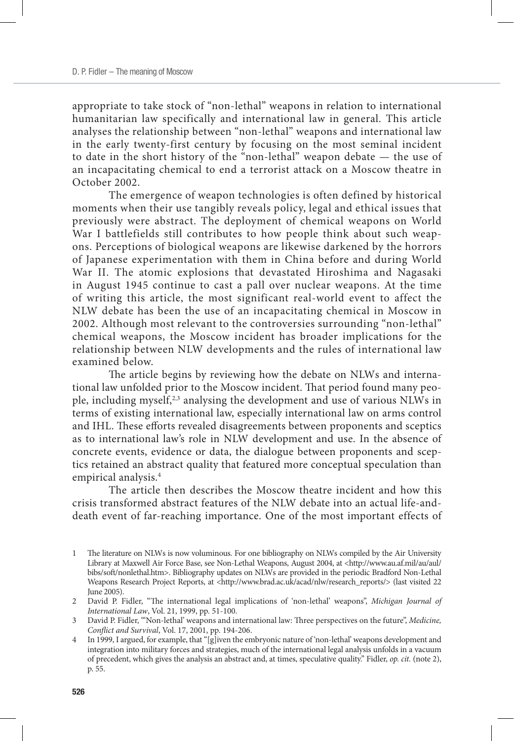appropriate to take stock of "non-lethal" weapons in relation to international humanitarian law specifically and international law in general. This article analyses the relationship between "non-lethal" weapons and international law in the early twenty-first century by focusing on the most seminal incident to date in the short history of the "non-lethal" weapon debate — the use of an incapacitating chemical to end a terrorist attack on a Moscow theatre in October 2002.

The emergence of weapon technologies is often defined by historical moments when their use tangibly reveals policy, legal and ethical issues that previously were abstract. The deployment of chemical weapons on World War I battlefields still contributes to how people think about such weapons. Perceptions of biological weapons are likewise darkened by the horrors of Japanese experimentation with them in China before and during World War II. The atomic explosions that devastated Hiroshima and Nagasaki in August 1945 continue to cast a pall over nuclear weapons. At the time of writing this article, the most significant real-world event to affect the NLW debate has been the use of an incapacitating chemical in Moscow in 2002. Although most relevant to the controversies surrounding "non-lethal" chemical weapons, the Moscow incident has broader implications for the relationship between NLW developments and the rules of international law examined below.

The article begins by reviewing how the debate on NLWs and international law unfolded prior to the Moscow incident. That period found many people, including myself,<sup>2,3</sup> analysing the development and use of various NLWs in terms of existing international law, especially international law on arms control and IHL. These efforts revealed disagreements between proponents and sceptics as to international law's role in NLW development and use. In the absence of concrete events, evidence or data, the dialogue between proponents and sceptics retained an abstract quality that featured more conceptual speculation than empirical analysis.4

The article then describes the Moscow theatre incident and how this crisis transformed abstract features of the NLW debate into an actual life-anddeath event of far-reaching importance. One of the most important effects of

The literature on NLWs is now voluminous. For one bibliography on NLWs compiled by the Air University Library at Maxwell Air Force Base, see Non-Lethal Weapons, August 2004, at <http://www.au.af.mil/au/aul/ bibs/soft /nonlethal.htm>. Bibliography updates on NLWs are provided in the periodic Bradford Non-Lethal Weapons Research Project Reports, at <http://www.brad.ac.uk/acad/nlw/research\_reports/> (last visited 22 June 2005).

<sup>2</sup> David P. Fidler, "The international legal implications of 'non-lethal' weapons", *Michigan Journal of International Law*, Vol. 21, 1999, pp. 51-100.

<sup>3</sup> David P. Fidler, "'Non-lethal' weapons and international law: Th ree perspectives on the future", *Medicine, Confl ict and Survival*, Vol. 17, 2001, pp. 194-206.

<sup>4</sup> In 1999, I argued, for example, that "[g]iven the embryonic nature of 'non-lethal' weapons development and integration into military forces and strategies, much of the international legal analysis unfolds in a vacuum of precedent, which gives the analysis an abstract and, at times, speculative quality." Fidler, *op. cit.* (note 2), p. 55.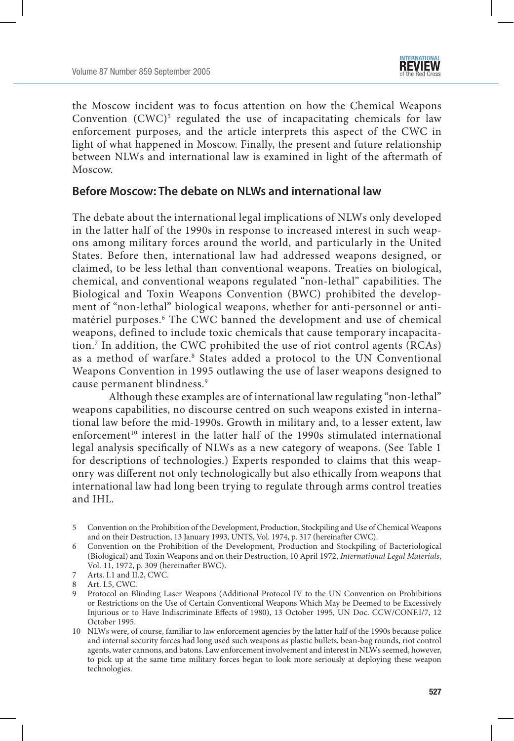

the Moscow incident was to focus attention on how the Chemical Weapons Convention  $(CWC)^5$  regulated the use of incapacitating chemicals for law enforcement purposes, and the article interprets this aspect of the CWC in light of what happened in Moscow. Finally, the present and future relationship between NLWs and international law is examined in light of the aftermath of Moscow.

# **Before Moscow: The debate on NLWs and international law**

The debate about the international legal implications of NLWs only developed in the latter half of the 1990s in response to increased interest in such weapons among military forces around the world, and particularly in the United States. Before then, international law had addressed weapons designed, or claimed, to be less lethal than conventional weapons. Treaties on biological, chemical, and conventional weapons regulated "non-lethal" capabilities. The Biological and Toxin Weapons Convention (BWC) prohibited the development of "non-lethal" biological weapons, whether for anti-personnel or antimatériel purposes.6 The CWC banned the development and use of chemical weapons, defined to include toxic chemicals that cause temporary incapacitation.7 In addition, the CWC prohibited the use of riot control agents (RCAs) as a method of warfare.<sup>8</sup> States added a protocol to the UN Conventional Weapons Convention in 1995 outlawing the use of laser weapons designed to cause permanent blindness.9

Although these examples are of international law regulating "non-lethal" weapons capabilities, no discourse centred on such weapons existed in international law before the mid-1990s. Growth in military and, to a lesser extent, law enforcement<sup>10</sup> interest in the latter half of the 1990s stimulated international legal analysis specifically of NLWs as a new category of weapons. (See Table 1 for descriptions of technologies.) Experts responded to claims that this weaponry was different not only technologically but also ethically from weapons that international law had long been trying to regulate through arms control treaties and IHL.

<sup>5</sup> Convention on the Prohibition of the Development, Production, Stockpiling and Use of Chemical Weapons and on their Destruction, 13 January 1993, UNTS, Vol. 1974, p. 317 (hereinafter CWC).

<sup>6</sup> Convention on the Prohibition of the Development, Production and Stockpiling of Bacteriological (Biological) and Toxin Weapons and on their Destruction, 10 April 1972, *International Legal Materials*, Vol. 11, 1972, p. 309 (hereinafter BWC).

<sup>7</sup> Arts. I.1 and II.2, CWC.

<sup>8</sup> Art. I.5, CWC.

<sup>9</sup> Protocol on Blinding Laser Weapons (Additional Protocol IV to the UN Convention on Prohibitions or Restrictions on the Use of Certain Conventional Weapons Which May be Deemed to be Excessively Injurious or to Have Indiscriminate Effects of 1980), 13 October 1995, UN Doc. CCW/CONF.I/7, 12 October 1995.

<sup>10</sup> NLWs were, of course, familiar to law enforcement agencies by the latter half of the 1990s because police and internal security forces had long used such weapons as plastic bullets, bean-bag rounds, riot control agents, water cannons, and batons. Law enforcement involvement and interest in NLWs seemed, however, to pick up at the same time military forces began to look more seriously at deploying these weapon technologies.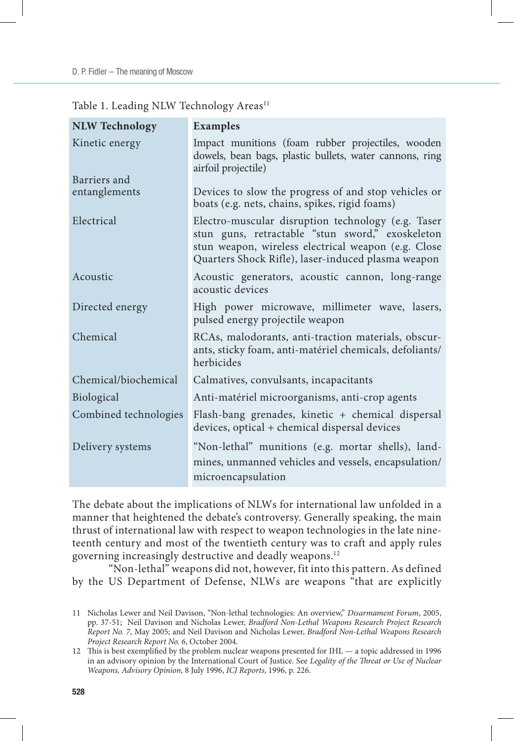| <b>NLW Technology</b> | <b>Examples</b>                                                                                                                                                                                                     |
|-----------------------|---------------------------------------------------------------------------------------------------------------------------------------------------------------------------------------------------------------------|
| Kinetic energy        | Impact munitions (foam rubber projectiles, wooden<br>dowels, bean bags, plastic bullets, water cannons, ring<br>airfoil projectile)                                                                                 |
| Barriers and          |                                                                                                                                                                                                                     |
| entanglements         | Devices to slow the progress of and stop vehicles or<br>boats (e.g. nets, chains, spikes, rigid foams)                                                                                                              |
| Electrical            | Electro-muscular disruption technology (e.g. Taser<br>stun guns, retractable "stun sword," exoskeleton<br>stun weapon, wireless electrical weapon (e.g. Close<br>Quarters Shock Rifle), laser-induced plasma weapon |
| Acoustic              | Acoustic generators, acoustic cannon, long-range<br>acoustic devices                                                                                                                                                |
| Directed energy       | High power microwave, millimeter wave, lasers,<br>pulsed energy projectile weapon                                                                                                                                   |
| Chemical              | RCAs, malodorants, anti-traction materials, obscur-<br>ants, sticky foam, anti-matériel chemicals, defoliants/<br>herbicides                                                                                        |
| Chemical/biochemical  | Calmatives, convulsants, incapacitants                                                                                                                                                                              |
| Biological            | Anti-matériel microorganisms, anti-crop agents                                                                                                                                                                      |
| Combined technologies | Flash-bang grenades, kinetic + chemical dispersal<br>devices, optical + chemical dispersal devices                                                                                                                  |
| Delivery systems      | "Non-lethal" munitions (e.g. mortar shells), land-<br>mines, unmanned vehicles and vessels, encapsulation/<br>microencapsulation                                                                                    |

Table 1. Leading NLW Technology Areas<sup>11</sup>

The debate about the implications of NLWs for international law unfolded in a manner that heightened the debate's controversy. Generally speaking, the main thrust of international law with respect to weapon technologies in the late nineteenth century and most of the twentieth century was to craft and apply rules governing increasingly destructive and deadly weapons.12

"Non-lethal" weapons did not, however, fit into this pattern. As defined by the US Department of Defense, NLWs are weapons "that are explicitly

<sup>11</sup> Nicholas Lewer and Neil Davison, "Non-lethal technologies: An overview," *Disarmament Forum*, 2005, pp. 37-51; Neil Davison and Nicholas Lewer, *Bradford Non-Lethal Weapons Research Project Research Report No. 7*, May 2005; and Neil Davison and Nicholas Lewer, *Bradford Non-Lethal Weapons Research Project Research Report No. 6*, October 2004.

<sup>12</sup> This is best exemplified by the problem nuclear weapons presented for IHL — a topic addressed in 1996 in an advisory opinion by the International Court of Justice. See *Legality of the Threat or Use of Nuclear Weapons, Advisory Opinion*, 8 July 1996, *ICJ Reports*, 1996, p. 226.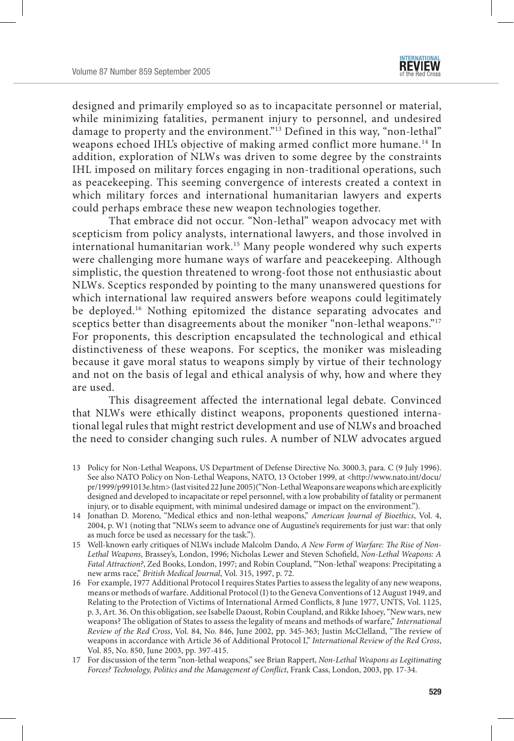

designed and primarily employed so as to incapacitate personnel or material, while minimizing fatalities, permanent injury to personnel, and undesired damage to property and the environment."<sup>13</sup> Defined in this way, "non-lethal" weapons echoed IHL's objective of making armed conflict more humane.14 In addition, exploration of NLWs was driven to some degree by the constraints IHL imposed on military forces engaging in non-traditional operations, such as peacekeeping. This seeming convergence of interests created a context in which military forces and international humanitarian lawyers and experts could perhaps embrace these new weapon technologies together.

That embrace did not occur. "Non-lethal" weapon advocacy met with scepticism from policy analysts, international lawyers, and those involved in international humanitarian work.<sup>15</sup> Many people wondered why such experts were challenging more humane ways of warfare and peacekeeping. Although simplistic, the question threatened to wrong-foot those not enthusiastic about NLWs. Sceptics responded by pointing to the many unanswered questions for which international law required answers before weapons could legitimately be deployed.<sup>16</sup> Nothing epitomized the distance separating advocates and sceptics better than disagreements about the moniker "non-lethal weapons."<sup>17</sup> For proponents, this description encapsulated the technological and ethical distinctiveness of these weapons. For sceptics, the moniker was misleading because it gave moral status to weapons simply by virtue of their technology and not on the basis of legal and ethical analysis of why, how and where they are used.

This disagreement affected the international legal debate. Convinced that NLWs were ethically distinct weapons, proponents questioned international legal rules that might restrict development and use of NLWs and broached the need to consider changing such rules. A number of NLW advocates argued

- 13 Policy for Non-Lethal Weapons, US Department of Defense Directive No. 3000.3, para. C (9 July 1996). See also NATO Policy on Non-Lethal Weapons, NATO, 13 October 1999, at <http://www.nato.int/docu/ pr/1999/p991013e.htm> (last visited 22 June 2005)("Non-Lethal Weapons are weapons which are explicitly designed and developed to incapacitate or repel personnel, with a low probability of fatality or permanent injury, or to disable equipment, with minimal undesired damage or impact on the environment.").
- 14 Jonathan D. Moreno, "Medical ethics and non-lethal weapons," *American Journal of Bioethics*, Vol. 4, 2004, p. W1 (noting that "NLWs seem to advance one of Augustine's requirements for just war: that only as much force be used as necessary for the task.").

15 Well-known early critiques of NLWs include Malcolm Dando, *A New Form of Warfare: The Rise of Non-*Lethal Weapons, Brassey's, London, 1996; Nicholas Lewer and Steven Schofield, *Non-Lethal Weapons: A Fatal Attraction?*, Zed Books, London, 1997; and Robin Coupland, "'Non-lethal' weapons: Precipitating a new arms race," *British Medical Journal*, Vol. 315, 1997, p. 72.

16 For example, 1977 Additional Protocol I requires States Parties to assess the legality of any new weapons, means or methods of warfare. Additional Protocol (I) to the Geneva Conventions of 12 August 1949, and Relating to the Protection of Victims of International Armed Conflicts, 8 June 1977, UNTS, Vol. 1125, p. 3, Art. 36. On this obligation, see Isabelle Daoust, Robin Coupland, and Rikke Ishoey, "New wars, new weapons? The obligation of States to assess the legality of means and methods of warfare," *International Review of the Red Cross*, Vol. 84, No. 846, June 2002, pp. 345-363; Justin McClelland, "The review of weapons in accordance with Article 36 of Additional Protocol I," *International Review of the Red Cross*, Vol. 85, No. 850, June 2003, pp. 397-415.

17 For discussion of the term "non-lethal weapons," see Brian Rappert, *Non-Lethal Weapons as Legitimating*  Forces? Technology, Politics and the Management of Conflict, Frank Cass, London, 2003, pp. 17-34.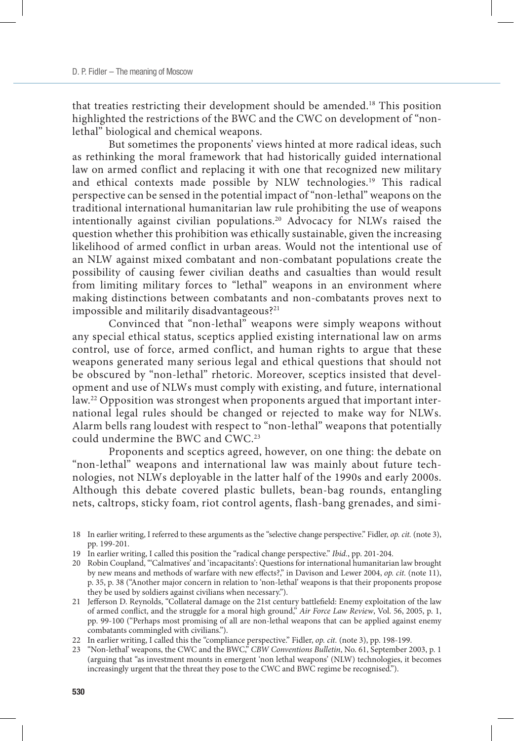that treaties restricting their development should be amended.18 This position highlighted the restrictions of the BWC and the CWC on development of "nonlethal" biological and chemical weapons.

But sometimes the proponents' views hinted at more radical ideas, such as rethinking the moral framework that had historically guided international law on armed conflict and replacing it with one that recognized new military and ethical contexts made possible by NLW technologies.<sup>19</sup> This radical perspective can be sensed in the potential impact of "non-lethal" weapons on the traditional international humanitarian law rule prohibiting the use of weapons intentionally against civilian populations.<sup>20</sup> Advocacy for NLWs raised the question whether this prohibition was ethically sustainable, given the increasing likelihood of armed conflict in urban areas. Would not the intentional use of an NLW against mixed combatant and non-combatant populations create the possibility of causing fewer civilian deaths and casualties than would result from limiting military forces to "lethal" weapons in an environment where making distinctions between combatants and non-combatants proves next to impossible and militarily disadvantageous?<sup>21</sup>

Convinced that "non-lethal" weapons were simply weapons without any special ethical status, sceptics applied existing international law on arms control, use of force, armed conflict, and human rights to argue that these weapons generated many serious legal and ethical questions that should not be obscured by "non-lethal" rhetoric. Moreover, sceptics insisted that development and use of NLWs must comply with existing, and future, international law.22 Opposition was strongest when proponents argued that important international legal rules should be changed or rejected to make way for NLWs. Alarm bells rang loudest with respect to "non-lethal" weapons that potentially could undermine the BWC and CWC.23

Proponents and sceptics agreed, however, on one thing: the debate on "non-lethal" weapons and international law was mainly about future technologies, not NLWs deployable in the latter half of the 1990s and early 2000s. Although this debate covered plastic bullets, bean-bag rounds, entangling nets, caltrops, sticky foam, riot control agents, flash-bang grenades, and simi-

- 19 In earlier writing, I called this position the "radical change perspective." *Ibid.*, pp. 201-204.
- 20 Robin Coupland, "'Calmatives' and 'incapacitants': Questions for international humanitarian law brought by new means and methods of warfare with new effects?," in Davison and Lewer 2004, *op. cit.* (note 11), p. 35, p. 38 ("Another major concern in relation to 'non-lethal' weapons is that their proponents propose they be used by soldiers against civilians when necessary.").
- 21 Jefferson D. Reynolds, "Collateral damage on the 21st century battlefield: Enemy exploitation of the law of armed conflict, and the struggle for a moral high ground," Air Force Law Review, Vol. 56, 2005, p. 1, pp. 99-100 ("Perhaps most promising of all are non-lethal weapons that can be applied against enemy combatants commingled with civilians.").
- 22 In earlier writing, I called this the "compliance perspective." Fidler, *op. cit.* (note 3), pp. 198-199.
- 23 "Non-lethal' weapons, the CWC and the BWC," *CBW Conventions Bulletin*, No. 61, September 2003, p. 1 (arguing that "as investment mounts in emergent 'non lethal weapons' (NLW) technologies, it becomes increasingly urgent that the threat they pose to the CWC and BWC regime be recognised.").

<sup>18</sup> In earlier writing, I referred to these arguments as the "selective change perspective." Fidler, *op. cit.* (note 3), pp. 199-201.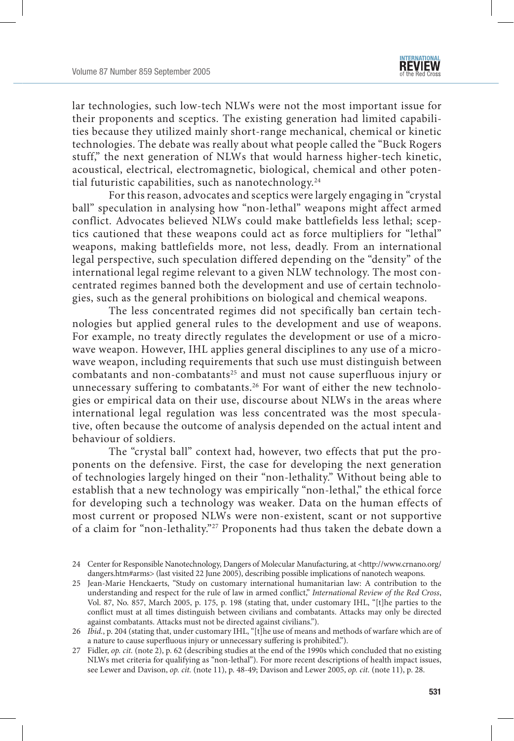lar technologies, such low-tech NLWs were not the most important issue for their proponents and sceptics. The existing generation had limited capabilities because they utilized mainly short-range mechanical, chemical or kinetic technologies. The debate was really about what people called the "Buck Rogers stuff," the next generation of NLWs that would harness higher-tech kinetic, acoustical, electrical, electromagnetic, biological, chemical and other potential futuristic capabilities, such as nanotechnology.<sup>24</sup>

For this reason, advocates and sceptics were largely engaging in "crystal ball" speculation in analysing how "non-lethal" weapons might affect armed conflict. Advocates believed NLWs could make battlefields less lethal; sceptics cautioned that these weapons could act as force multipliers for "lethal" weapons, making battlefields more, not less, deadly. From an international legal perspective, such speculation differed depending on the "density" of the international legal regime relevant to a given NLW technology. The most concentrated regimes banned both the development and use of certain technologies, such as the general prohibitions on biological and chemical weapons.

The less concentrated regimes did not specifically ban certain technologies but applied general rules to the development and use of weapons. For example, no treaty directly regulates the development or use of a microwave weapon. However, IHL applies general disciplines to any use of a microwave weapon, including requirements that such use must distinguish between combatants and non-combatants<sup>25</sup> and must not cause superfluous injury or unnecessary suffering to combatants.<sup>26</sup> For want of either the new technologies or empirical data on their use, discourse about NLWs in the areas where international legal regulation was less concentrated was the most speculative, often because the outcome of analysis depended on the actual intent and behaviour of soldiers.

The "crystal ball" context had, however, two effects that put the proponents on the defensive. First, the case for developing the next generation of technologies largely hinged on their "non-lethality." Without being able to establish that a new technology was empirically "non-lethal," the ethical force for developing such a technology was weaker. Data on the human effects of most current or proposed NLWs were non-existent, scant or not supportive of a claim for "non-lethality."27 Proponents had thus taken the debate down a

<sup>24</sup> Center for Responsible Nanotechnology, Dangers of Molecular Manufacturing, at <http://www.crnano.org/ dangers.htm#arms> (last visited 22 June 2005), describing possible implications of nanotech weapons.

<sup>25</sup> Jean-Marie Henckaerts, "Study on customary international humanitarian law: A contribution to the understanding and respect for the rule of law in armed conflict," *International Review of the Red Cross*, Vol. 87, No. 857, March 2005, p. 175, p. 198 (stating that, under customary IHL, "[t]he parties to the conflict must at all times distinguish between civilians and combatants. Attacks may only be directed against combatants. Attacks must not be directed against civilians.").

<sup>26</sup> *Ibid.*, p. 204 (stating that, under customary IHL, "[t]he use of means and methods of warfare which are of a nature to cause superfluous injury or unnecessary suffering is prohibited.").

<sup>27</sup> Fidler, *op. cit.* (note 2), p. 62 (describing studies at the end of the 1990s which concluded that no existing NLWs met criteria for qualifying as "non-lethal"). For more recent descriptions of health impact issues, see Lewer and Davison, *op. cit.* (note 11), p. 48-49; Davison and Lewer 2005, *op. cit.* (note 11), p. 28.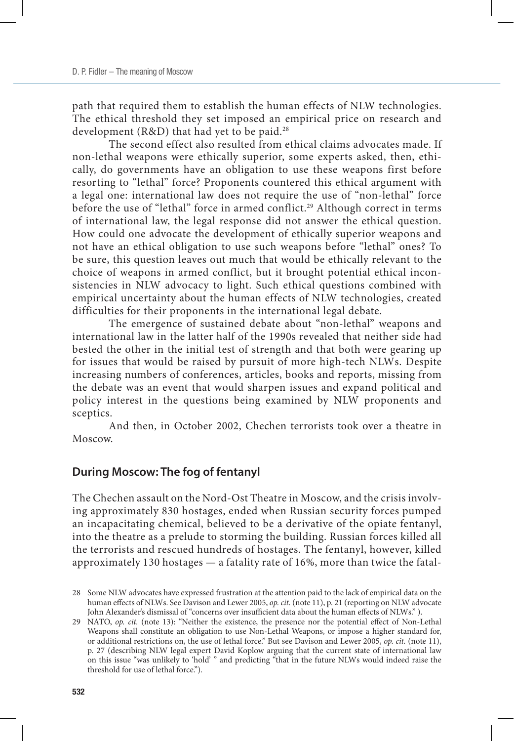path that required them to establish the human effects of NLW technologies. The ethical threshold they set imposed an empirical price on research and development  $(R&D)$  that had yet to be paid.<sup>28</sup>

The second effect also resulted from ethical claims advocates made. If non-lethal weapons were ethically superior, some experts asked, then, ethically, do governments have an obligation to use these weapons first before resorting to "lethal" force? Proponents countered this ethical argument with a legal one: international law does not require the use of "non-lethal" force before the use of "lethal" force in armed conflict.<sup>29</sup> Although correct in terms of international law, the legal response did not answer the ethical question. How could one advocate the development of ethically superior weapons and not have an ethical obligation to use such weapons before "lethal" ones? To be sure, this question leaves out much that would be ethically relevant to the choice of weapons in armed conflict, but it brought potential ethical inconsistencies in NLW advocacy to light. Such ethical questions combined with empirical uncertainty about the human effects of NLW technologies, created difficulties for their proponents in the international legal debate.

The emergence of sustained debate about "non-lethal" weapons and international law in the latter half of the 1990s revealed that neither side had bested the other in the initial test of strength and that both were gearing up for issues that would be raised by pursuit of more high-tech NLWs. Despite increasing numbers of conferences, articles, books and reports, missing from the debate was an event that would sharpen issues and expand political and policy interest in the questions being examined by NLW proponents and sceptics.

And then, in October 2002, Chechen terrorists took over a theatre in Moscow.

# **During Moscow: The fog of fentanyl**

The Chechen assault on the Nord-Ost Theatre in Moscow, and the crisis involving approximately 830 hostages, ended when Russian security forces pumped an incapacitating chemical, believed to be a derivative of the opiate fentanyl, into the theatre as a prelude to storming the building. Russian forces killed all the terrorists and rescued hundreds of hostages. The fentanyl, however, killed approximately 130 hostages — a fatality rate of 16%, more than twice the fatal-

<sup>28</sup> Some NLW advocates have expressed frustration at the attention paid to the lack of empirical data on the human effects of NLWs. See Davison and Lewer 2005, *op. cit.* (note 11), p. 21 (reporting on NLW advocate John Alexander's dismissal of "concerns over insufficient data about the human effects of NLWs." ).

<sup>29</sup> NATO, *op. cit.* (note 13): "Neither the existence, the presence nor the potential effect of Non-Lethal Weapons shall constitute an obligation to use Non-Lethal Weapons, or impose a higher standard for, or additional restrictions on, the use of lethal force." But see Davison and Lewer 2005, *op. cit.* (note 11), p. 27 (describing NLW legal expert David Koplow arguing that the current state of international law on this issue "was unlikely to 'hold' " and predicting "that in the future NLWs would indeed raise the threshold for use of lethal force.").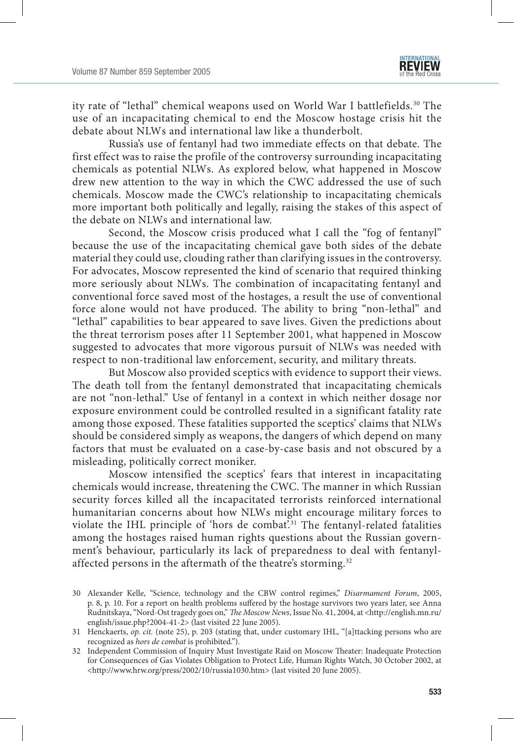

ity rate of "lethal" chemical weapons used on World War I battlefields.<sup>30</sup> The use of an incapacitating chemical to end the Moscow hostage crisis hit the debate about NLWs and international law like a thunderbolt.

Russia's use of fentanyl had two immediate effects on that debate. The first effect was to raise the profile of the controversy surrounding incapacitating chemicals as potential NLWs. As explored below, what happened in Moscow drew new attention to the way in which the CWC addressed the use of such chemicals. Moscow made the CWC's relationship to incapacitating chemicals more important both politically and legally, raising the stakes of this aspect of the debate on NLWs and international law.

Second, the Moscow crisis produced what I call the "fog of fentanyl" because the use of the incapacitating chemical gave both sides of the debate material they could use, clouding rather than clarifying issues in the controversy. For advocates, Moscow represented the kind of scenario that required thinking more seriously about NLWs. The combination of incapacitating fentanyl and conventional force saved most of the hostages, a result the use of conventional force alone would not have produced. The ability to bring "non-lethal" and "lethal" capabilities to bear appeared to save lives. Given the predictions about the threat terrorism poses after 11 September 2001, what happened in Moscow suggested to advocates that more vigorous pursuit of NLWs was needed with respect to non-traditional law enforcement, security, and military threats.

But Moscow also provided sceptics with evidence to support their views. The death toll from the fentanyl demonstrated that incapacitating chemicals are not "non-lethal." Use of fentanyl in a context in which neither dosage nor exposure environment could be controlled resulted in a significant fatality rate among those exposed. These fatalities supported the sceptics' claims that NLWs should be considered simply as weapons, the dangers of which depend on many factors that must be evaluated on a case-by-case basis and not obscured by a misleading, politically correct moniker.

Moscow intensified the sceptics' fears that interest in incapacitating chemicals would increase, threatening the CWC. The manner in which Russian security forces killed all the incapacitated terrorists reinforced international humanitarian concerns about how NLWs might encourage military forces to violate the IHL principle of 'hors de combat'.<sup>31</sup> The fentanyl-related fatalities among the hostages raised human rights questions about the Russian government's behaviour, particularly its lack of preparedness to deal with fentanylaffected persons in the aftermath of the theatre's storming.<sup>32</sup>

<sup>30</sup> Alexander Kelle, "Science, technology and the CBW control regimes," *Disarmament Forum*, 2005, p. 8, p. 10. For a report on health problems suffered by the hostage survivors two years later, see Anna Rudnitskaya, "Nord-Ost tragedy goes on," *The Moscow News*, Issue No. 41, 2004, at <http://english.mn.ru/ english/issue.php?2004-41-2> (last visited 22 June 2005).

<sup>31</sup> Henckaerts, *op. cit.* (note 25), p. 203 (stating that, under customary IHL, "[a]ttacking persons who are recognized as *hors de combat* is prohibited.").

<sup>32</sup> Independent Commission of Inquiry Must Investigate Raid on Moscow Theater: Inadequate Protection for Consequences of Gas Violates Obligation to Protect Life, Human Rights Watch, 30 October 2002, at <http://www.hrw.org/press/2002/10/russia1030.htm> (last visited 20 June 2005).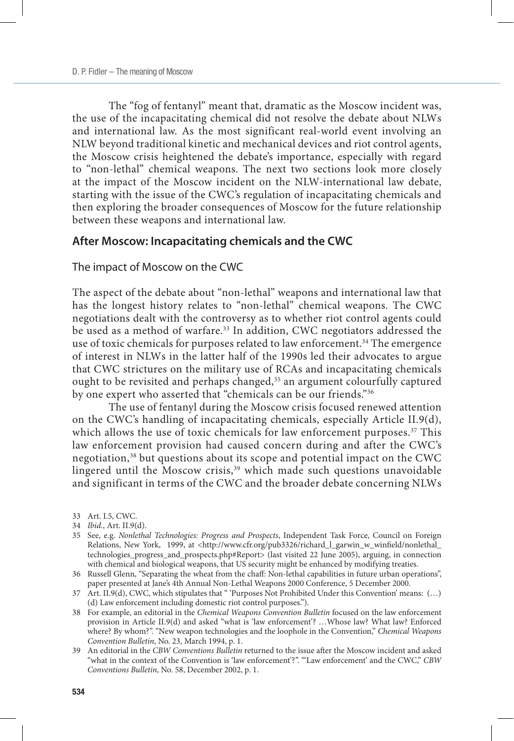The "fog of fentanyl" meant that, dramatic as the Moscow incident was, the use of the incapacitating chemical did not resolve the debate about NLWs and international law. As the most significant real-world event involving an NLW beyond traditional kinetic and mechanical devices and riot control agents, the Moscow crisis heightened the debate's importance, especially with regard to "non-lethal" chemical weapons. The next two sections look more closely at the impact of the Moscow incident on the NLW-international law debate, starting with the issue of the CWC's regulation of incapacitating chemicals and then exploring the broader consequences of Moscow for the future relationship between these weapons and international law.

# **After Moscow: Incapacitating chemicals and the CWC**

The impact of Moscow on the CWC

The aspect of the debate about "non-lethal" weapons and international law that has the longest history relates to "non-lethal" chemical weapons. The CWC negotiations dealt with the controversy as to whether riot control agents could be used as a method of warfare.<sup>33</sup> In addition, CWC negotiators addressed the use of toxic chemicals for purposes related to law enforcement.<sup>34</sup> The emergence of interest in NLWs in the latter half of the 1990s led their advocates to argue that CWC strictures on the military use of RCAs and incapacitating chemicals ought to be revisited and perhaps changed,<sup>35</sup> an argument colourfully captured by one expert who asserted that "chemicals can be our friends."<sup>36</sup>

The use of fentanyl during the Moscow crisis focused renewed attention on the CWC's handling of incapacitating chemicals, especially Article II.9(d), which allows the use of toxic chemicals for law enforcement purposes.<sup>37</sup> This law enforcement provision had caused concern during and after the CWC's negotiation,38 but questions about its scope and potential impact on the CWC lingered until the Moscow crisis, $39$  which made such questions unavoidable and significant in terms of the CWC and the broader debate concerning NLWs

36 Russell Glenn, "Separating the wheat from the chaff: Non-lethal capabilities in future urban operations", paper presented at Jane's 4th Annual Non-Lethal Weapons 2000 Conference, 5 December 2000.

37 Art. II.9(d), CWC, which stipulates that " 'Purposes Not Prohibited Under this Convention' means: (…) (d) Law enforcement including domestic riot control purposes.").

- 38 For example, an editorial in the *Chemical Weapons Convention Bulletin* focused on the law enforcement provision in Article II.9(d) and asked "what is 'law enforcement'? …Whose law? What law? Enforced where? By whom?". "New weapon technologies and the loophole in the Convention," *Chemical Weapons Convention Bulletin*, No. 23, March 1994, p. 1.
- 39 An editorial in the *CBW Conventions Bulletin* returned to the issue after the Moscow incident and asked "what in the context of the Convention is 'law enforcement'?". "'Law enforcement' and the CWC," *CBW Conventions Bulletin*, No. 58, December 2002, p. 1.

<sup>33</sup> Art. I.5, CWC.

<sup>34</sup> *Ibid.*, Art. II.9(d).

<sup>35</sup> See, e.g. *Nonlethal Technologies: Progress and Prospects*, Independent Task Force, Council on Foreign Relations, New York, 1999, at <http://www.cfr.org/pub3326/richard\_l\_garwin\_w\_winfield/nonlethal\_ technologies\_progress\_and\_prospects.php#Report> (last visited 22 June 2005), arguing, in connection with chemical and biological weapons, that US security might be enhanced by modifying treaties.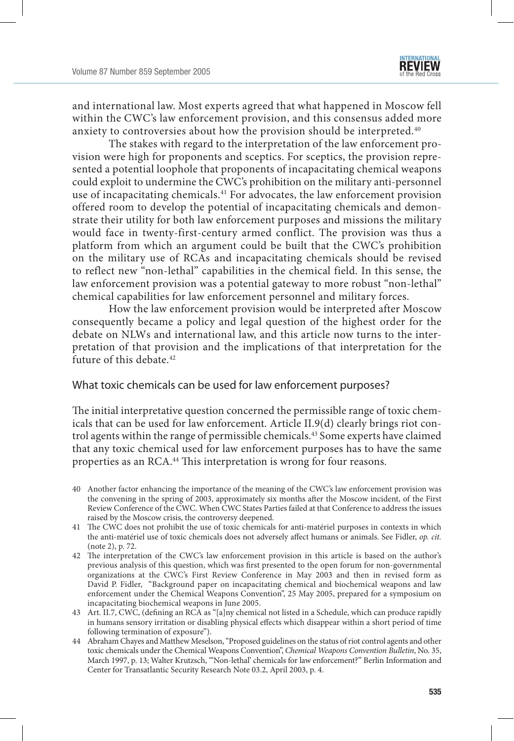

and international law. Most experts agreed that what happened in Moscow fell within the CWC's law enforcement provision, and this consensus added more anxiety to controversies about how the provision should be interpreted.<sup>40</sup>

The stakes with regard to the interpretation of the law enforcement provision were high for proponents and sceptics. For sceptics, the provision represented a potential loophole that proponents of incapacitating chemical weapons could exploit to undermine the CWC's prohibition on the military anti-personnel use of incapacitating chemicals.41 For advocates, the law enforcement provision offered room to develop the potential of incapacitating chemicals and demonstrate their utility for both law enforcement purposes and missions the military would face in twenty-first-century armed conflict. The provision was thus a platform from which an argument could be built that the CWC's prohibition on the military use of RCAs and incapacitating chemicals should be revised to reflect new "non-lethal" capabilities in the chemical field. In this sense, the law enforcement provision was a potential gateway to more robust "non-lethal" chemical capabilities for law enforcement personnel and military forces.

How the law enforcement provision would be interpreted after Moscow consequently became a policy and legal question of the highest order for the debate on NLWs and international law, and this article now turns to the interpretation of that provision and the implications of that interpretation for the future of this debate.<sup>42</sup>

# What toxic chemicals can be used for law enforcement purposes?

The initial interpretative question concerned the permissible range of toxic chemicals that can be used for law enforcement. Article II.9(d) clearly brings riot control agents within the range of permissible chemicals.43 Some experts have claimed that any toxic chemical used for law enforcement purposes has to have the same properties as an RCA.<sup>44</sup> This interpretation is wrong for four reasons.

- 40 Another factor enhancing the importance of the meaning of the CWC's law enforcement provision was the convening in the spring of 2003, approximately six months after the Moscow incident, of the First Review Conference of the CWC. When CWC States Parties failed at that Conference to address the issues raised by the Moscow crisis, the controversy deepened.
- 41 The CWC does not prohibit the use of toxic chemicals for anti-matériel purposes in contexts in which the anti-matériel use of toxic chemicals does not adversely affect humans or animals. See Fidler, *op. cit.* (note 2), p. 72.
- 42 The interpretation of the CWC's law enforcement provision in this article is based on the author's previous analysis of this question, which was first presented to the open forum for non-governmental organizations at the CWC's First Review Conference in May 2003 and then in revised form as David P. Fidler, "Background paper on incapacitating chemical and biochemical weapons and law enforcement under the Chemical Weapons Convention", 25 May 2005, prepared for a symposium on incapacitating biochemical weapons in June 2005.
- 43 Art. II.7, CWC, (defining an RCA as "[a]ny chemical not listed in a Schedule, which can produce rapidly in humans sensory irritation or disabling physical effects which disappear within a short period of time following termination of exposure").
- 44 Abraham Chayes and Matthew Meselson, "Proposed guidelines on the status of riot control agents and other toxic chemicals under the Chemical Weapons Convention", *Chemical Weapons Convention Bulletin*, No. 35, March 1997, p. 13; Walter Krutzsch, "'Non-lethal' chemicals for law enforcement?" Berlin Information and Center for Transatlantic Security Research Note 03.2, April 2003, p. 4.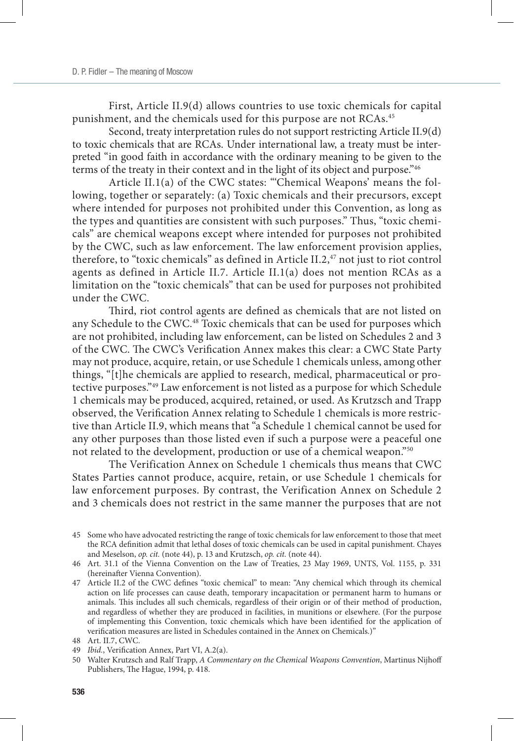First, Article II.9(d) allows countries to use toxic chemicals for capital punishment, and the chemicals used for this purpose are not RCAs.45

Second, treaty interpretation rules do not support restricting Article II.9(d) to toxic chemicals that are RCAs. Under international law, a treaty must be interpreted "in good faith in accordance with the ordinary meaning to be given to the terms of the treaty in their context and in the light of its object and purpose."46

Article II.1(a) of the CWC states: "'Chemical Weapons' means the following, together or separately: (a) Toxic chemicals and their precursors, except where intended for purposes not prohibited under this Convention, as long as the types and quantities are consistent with such purposes." Thus, "toxic chemicals" are chemical weapons except where intended for purposes not prohibited by the CWC, such as law enforcement. The law enforcement provision applies, therefore, to "toxic chemicals" as defined in Article II.2, $47$  not just to riot control agents as defined in Article II.7. Article II.1(a) does not mention RCAs as a limitation on the "toxic chemicals" that can be used for purposes not prohibited under the CWC.

Third, riot control agents are defined as chemicals that are not listed on any Schedule to the CWC.<sup>48</sup> Toxic chemicals that can be used for purposes which are not prohibited, including law enforcement, can be listed on Schedules 2 and 3 of the CWC. The CWC's Verification Annex makes this clear: a CWC State Party may not produce, acquire, retain, or use Schedule 1 chemicals unless, among other things, "[t]he chemicals are applied to research, medical, pharmaceutical or protective purposes."49 Law enforcement is not listed as a purpose for which Schedule 1 chemicals may be produced, acquired, retained, or used. As Krutzsch and Trapp observed, the Verification Annex relating to Schedule 1 chemicals is more restrictive than Article II.9, which means that "a Schedule 1 chemical cannot be used for any other purposes than those listed even if such a purpose were a peaceful one not related to the development, production or use of a chemical weapon."50

The Verification Annex on Schedule 1 chemicals thus means that CWC States Parties cannot produce, acquire, retain, or use Schedule 1 chemicals for law enforcement purposes. By contrast, the Verification Annex on Schedule 2 and 3 chemicals does not restrict in the same manner the purposes that are not

<sup>45</sup> Some who have advocated restricting the range of toxic chemicals for law enforcement to those that meet the RCA definition admit that lethal doses of toxic chemicals can be used in capital punishment. Chayes and Meselson, *op. cit.* (note 44), p. 13 and Krutzsch, *op. cit.* (note 44).

<sup>46</sup> Art. 31.1 of the Vienna Convention on the Law of Treaties, 23 May 1969, UNTS, Vol. 1155, p. 331 (hereinafter Vienna Convention).

<sup>47</sup> Article II.2 of the CWC defines "toxic chemical" to mean: "Any chemical which through its chemical action on life processes can cause death, temporary incapacitation or permanent harm to humans or animals. This includes all such chemicals, regardless of their origin or of their method of production, and regardless of whether they are produced in facilities, in munitions or elsewhere. (For the purpose of implementing this Convention, toxic chemicals which have been identified for the application of verification measures are listed in Schedules contained in the Annex on Chemicals.)"

<sup>48</sup> Art. II.7, CWC.

<sup>49</sup> *Ibid.*, Verification Annex, Part VI, A.2(a).

<sup>50</sup> Walter Krutzsch and Ralf Trapp, *A Commentary on the Chemical Weapons Convention*, Martinus Nijhoff Publishers, The Hague, 1994, p. 418.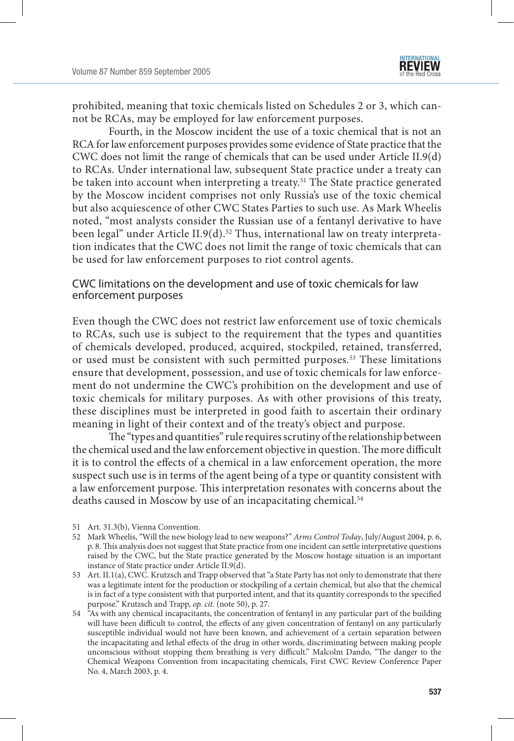

prohibited, meaning that toxic chemicals listed on Schedules 2 or 3, which cannot be RCAs, may be employed for law enforcement purposes.

Fourth, in the Moscow incident the use of a toxic chemical that is not an RCA for law enforcement purposes provides some evidence of State practice that the CWC does not limit the range of chemicals that can be used under Article II.9(d) to RCAs. Under international law, subsequent State practice under a treaty can be taken into account when interpreting a treaty.<sup>51</sup> The State practice generated by the Moscow incident comprises not only Russia's use of the toxic chemical but also acquiescence of other CWC States Parties to such use. As Mark Wheelis noted, "most analysts consider the Russian use of a fentanyl derivative to have been legal" under Article II.9(d).<sup>52</sup> Thus, international law on treaty interpretation indicates that the CWC does not limit the range of toxic chemicals that can be used for law enforcement purposes to riot control agents.

CWC limitations on the development and use of toxic chemicals for law enforcement purposes

Even though the CWC does not restrict law enforcement use of toxic chemicals to RCAs, such use is subject to the requirement that the types and quantities of chemicals developed, produced, acquired, stockpiled, retained, transferred, or used must be consistent with such permitted purposes.<sup>53</sup> These limitations ensure that development, possession, and use of toxic chemicals for law enforcement do not undermine the CWC's prohibition on the development and use of toxic chemicals for military purposes. As with other provisions of this treaty, these disciplines must be interpreted in good faith to ascertain their ordinary meaning in light of their context and of the treaty's object and purpose.

The "types and quantities" rule requires scrutiny of the relationship between the chemical used and the law enforcement objective in question. The more difficult it is to control the effects of a chemical in a law enforcement operation, the more suspect such use is in terms of the agent being of a type or quantity consistent with a law enforcement purpose. This interpretation resonates with concerns about the deaths caused in Moscow by use of an incapacitating chemical.<sup>54</sup>

- 51 Art. 31.3(b), Vienna Convention.
- 52 Mark Wheelis, "Will the new biology lead to new weapons?" *Arms Control Today*, July/August 2004, p. 6, p. 8. This analysis does not suggest that State practice from one incident can settle interpretative questions raised by the CWC, but the State practice generated by the Moscow hostage situation is an important instance of State practice under Article II.9(d).
- 53 Art. II.1(a), CWC. Krutzsch and Trapp observed that "a State Party has not only to demonstrate that there was a legitimate intent for the production or stockpiling of a certain chemical, but also that the chemical is in fact of a type consistent with that purported intent, and that its quantity corresponds to the specified purpose." Krutzsch and Trapp, *op. cit.* (note 50), p. 27.
- 54 "As with any chemical incapacitants, the concentration of fentanyl in any particular part of the building will have been difficult to control, the effects of any given concentration of fentanyl on any particularly susceptible individual would not have been known, and achievement of a certain separation between the incapacitating and lethal effects of the drug in other words, discriminating between making people unconscious without stopping them breathing is very difficult." Malcolm Dando, "The danger to the Chemical Weapons Convention from incapacitating chemicals, First CWC Review Conference Paper No. 4, March 2003, p. 4.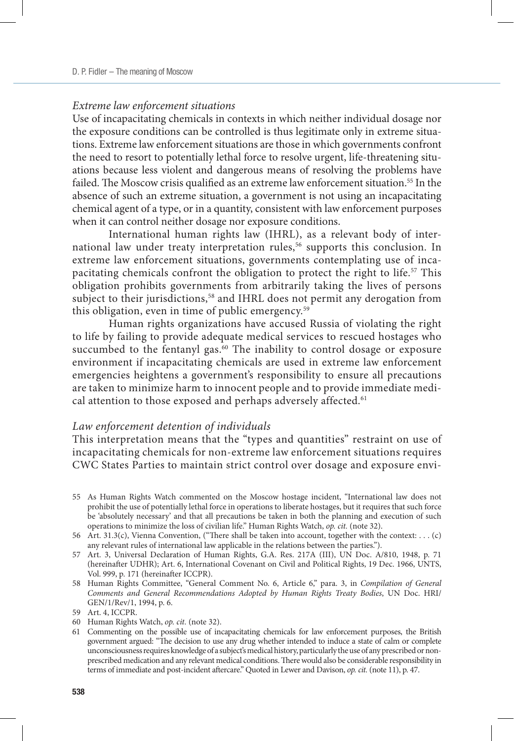#### *Extreme law enforcement situations*

Use of incapacitating chemicals in contexts in which neither individual dosage nor the exposure conditions can be controlled is thus legitimate only in extreme situations. Extreme law enforcement situations are those in which governments confront the need to resort to potentially lethal force to resolve urgent, life-threatening situations because less violent and dangerous means of resolving the problems have failed. The Moscow crisis qualified as an extreme law enforcement situation.<sup>55</sup> In the absence of such an extreme situation, a government is not using an incapacitating chemical agent of a type, or in a quantity, consistent with law enforcement purposes when it can control neither dosage nor exposure conditions.

International human rights law (IHRL), as a relevant body of international law under treaty interpretation rules,<sup>56</sup> supports this conclusion. In extreme law enforcement situations, governments contemplating use of incapacitating chemicals confront the obligation to protect the right to life.<sup>57</sup> This obligation prohibits governments from arbitrarily taking the lives of persons subject to their jurisdictions,<sup>58</sup> and IHRL does not permit any derogation from this obligation, even in time of public emergency.<sup>59</sup>

Human rights organizations have accused Russia of violating the right to life by failing to provide adequate medical services to rescued hostages who succumbed to the fentanyl gas. $60$  The inability to control dosage or exposure environment if incapacitating chemicals are used in extreme law enforcement emergencies heightens a government's responsibility to ensure all precautions are taken to minimize harm to innocent people and to provide immediate medical attention to those exposed and perhaps adversely affected.<sup>61</sup>

#### *Law enforcement detention of individuals*

This interpretation means that the "types and quantities" restraint on use of incapacitating chemicals for non-extreme law enforcement situations requires CWC States Parties to maintain strict control over dosage and exposure envi-

- 55 As Human Rights Watch commented on the Moscow hostage incident, "International law does not prohibit the use of potentially lethal force in operations to liberate hostages, but it requires that such force be 'absolutely necessary' and that all precautions be taken in both the planning and execution of such operations to minimize the loss of civilian life." Human Rights Watch, *op. cit.* (note 32).
- 56 Art. 31.3(c), Vienna Convention, ("There shall be taken into account, together with the context: . . . (c) any relevant rules of international law applicable in the relations between the parties.").
- 57 Art. 3, Universal Declaration of Human Rights, G.A. Res. 217A (III), UN Doc. A/810, 1948, p. 71 (hereinafter UDHR); Art. 6, International Covenant on Civil and Political Rights, 19 Dec. 1966, UNTS, Vol. 999, p. 171 (hereinafter ICCPR).
- 58 Human Rights Committee, "General Comment No. 6, Article 6," para. 3, in *Compilation of General Comments and General Recommendations Adopted by Human Rights Treaty Bodies*, UN Doc. HRI/ GEN/1/Rev/1, 1994, p. 6.
- 59 Art. 4, ICCPR.
- 60 Human Rights Watch, *op. cit.* (note 32).
- 61 Commenting on the possible use of incapacitating chemicals for law enforcement purposes, the British government argued: "The decision to use any drug whether intended to induce a state of calm or complete unconsciousness requires knowledge of a subject's medical history, particularly the use of any prescribed or nonprescribed medication and any relevant medical conditions. There would also be considerable responsibility in terms of immediate and post-incident aftercare." Quoted in Lewer and Davison, op. cit. (note 11), p. 47.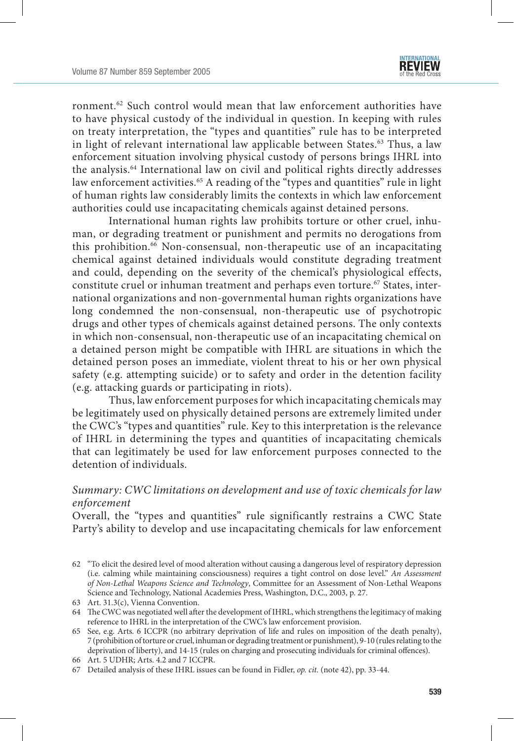ronment.62 Such control would mean that law enforcement authorities have to have physical custody of the individual in question. In keeping with rules on treaty interpretation, the "types and quantities" rule has to be interpreted in light of relevant international law applicable between States.<sup>63</sup> Thus, a law enforcement situation involving physical custody of persons brings IHRL into the analysis.64 International law on civil and political rights directly addresses law enforcement activities.<sup>65</sup> A reading of the "types and quantities" rule in light of human rights law considerably limits the contexts in which law enforcement authorities could use incapacitating chemicals against detained persons.

International human rights law prohibits torture or other cruel, inhuman, or degrading treatment or punishment and permits no derogations from this prohibition. $66$  Non-consensual, non-therapeutic use of an incapacitating chemical against detained individuals would constitute degrading treatment and could, depending on the severity of the chemical's physiological effects, constitute cruel or inhuman treatment and perhaps even torture.<sup>67</sup> States, international organizations and non-governmental human rights organizations have long condemned the non-consensual, non-therapeutic use of psychotropic drugs and other types of chemicals against detained persons. The only contexts in which non-consensual, non-therapeutic use of an incapacitating chemical on a detained person might be compatible with IHRL are situations in which the detained person poses an immediate, violent threat to his or her own physical safety (e.g. attempting suicide) or to safety and order in the detention facility (e.g. attacking guards or participating in riots).

Thus, law enforcement purposes for which incapacitating chemicals may be legitimately used on physically detained persons are extremely limited under the CWC's "types and quantities" rule. Key to this interpretation is the relevance of IHRL in determining the types and quantities of incapacitating chemicals that can legitimately be used for law enforcement purposes connected to the detention of individuals.

# *Summary: CWC limitations on development and use of toxic chemicals for law enforcement*

Overall, the "types and quantities" rule significantly restrains a CWC State Party's ability to develop and use incapacitating chemicals for law enforcement

<sup>62 &</sup>quot;To elicit the desired level of mood alteration without causing a dangerous level of respiratory depression (i.e. calming while maintaining consciousness) requires a tight control on dose level." *An Assessment of Non-Lethal Weapons Science and Technology*, Committee for an Assessment of Non-Lethal Weapons Science and Technology, National Academies Press, Washington, D.C., 2003, p. 27.

<sup>63</sup> Art. 31.3(c), Vienna Convention.

<sup>64</sup> The CWC was negotiated well after the development of IHRL, which strengthens the legitimacy of making reference to IHRL in the interpretation of the CWC's law enforcement provision.

<sup>65</sup> See, e.g. Arts. 6 ICCPR (no arbitrary deprivation of life and rules on imposition of the death penalty), 7 (prohibition of torture or cruel, inhuman or degrading treatment or punishment), 9-10 (rules relating to the deprivation of liberty), and 14-15 (rules on charging and prosecuting individuals for criminal offences).

<sup>66</sup> Art. 5 UDHR; Arts. 4.2 and 7 ICCPR.

<sup>67</sup> Detailed analysis of these IHRL issues can be found in Fidler, *op. cit.* (note 42), pp. 33-44.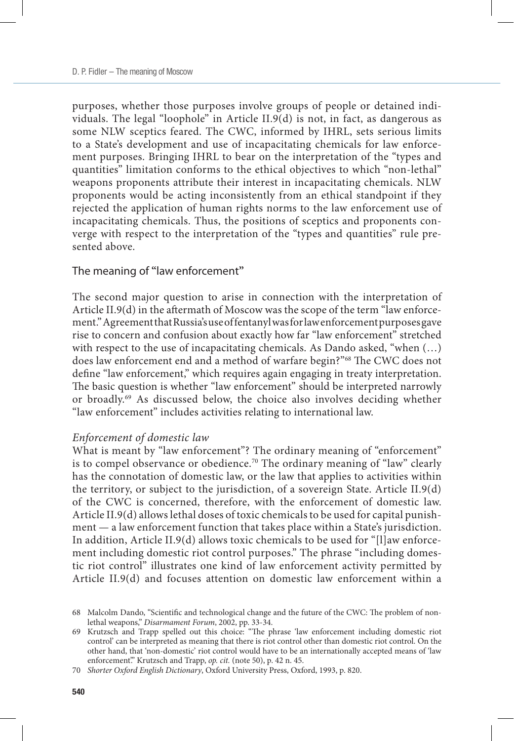purposes, whether those purposes involve groups of people or detained individuals. The legal "loophole" in Article II.9(d) is not, in fact, as dangerous as some NLW sceptics feared. The CWC, informed by IHRL, sets serious limits to a State's development and use of incapacitating chemicals for law enforcement purposes. Bringing IHRL to bear on the interpretation of the "types and quantities" limitation conforms to the ethical objectives to which "non-lethal" weapons proponents attribute their interest in incapacitating chemicals. NLW proponents would be acting inconsistently from an ethical standpoint if they rejected the application of human rights norms to the law enforcement use of incapacitating chemicals. Thus, the positions of sceptics and proponents converge with respect to the interpretation of the "types and quantities" rule presented above.

### The meaning of **"**law enforcement**"**

The second major question to arise in connection with the interpretation of Article II.9(d) in the aftermath of Moscow was the scope of the term "law enforcement." Agreement that Russia's use of fentanyl was for law enforcement purposes gave rise to concern and confusion about exactly how far "law enforcement" stretched with respect to the use of incapacitating chemicals. As Dando asked, "when  $(...)$ does law enforcement end and a method of warfare begin?"<sup>68</sup> The CWC does not define "law enforcement," which requires again engaging in treaty interpretation. The basic question is whether "law enforcement" should be interpreted narrowly or broadly.69 As discussed below, the choice also involves deciding whether "law enforcement" includes activities relating to international law.

#### *Enforcement of domestic law*

What is meant by "law enforcement"? The ordinary meaning of "enforcement" is to compel observance or obedience.70 The ordinary meaning of "law" clearly has the connotation of domestic law, or the law that applies to activities within the territory, or subject to the jurisdiction, of a sovereign State. Article II.9(d) of the CWC is concerned, therefore, with the enforcement of domestic law. Article II.9(d) allows lethal doses of toxic chemicals to be used for capital punishment — a law enforcement function that takes place within a State's jurisdiction. In addition, Article II.9(d) allows toxic chemicals to be used for "[l]aw enforcement including domestic riot control purposes." The phrase "including domestic riot control" illustrates one kind of law enforcement activity permitted by Article II.9(d) and focuses attention on domestic law enforcement within a

<sup>68</sup> Malcolm Dando, "Scientific and technological change and the future of the CWC: The problem of nonlethal weapons," *Disarmament Forum*, 2002, pp. 33-34.

<sup>69</sup> Krutzsch and Trapp spelled out this choice: "The phrase 'law enforcement including domestic riot control' can be interpreted as meaning that there is riot control other than domestic riot control. On the other hand, that 'non-domestic' riot control would have to be an internationally accepted means of 'law enforcement'." Krutzsch and Trapp, *op. cit.* (note 50), p. 42 n. 45.

<sup>70</sup> *Shorter Oxford English Dictionary*, Oxford University Press, Oxford, 1993, p. 820.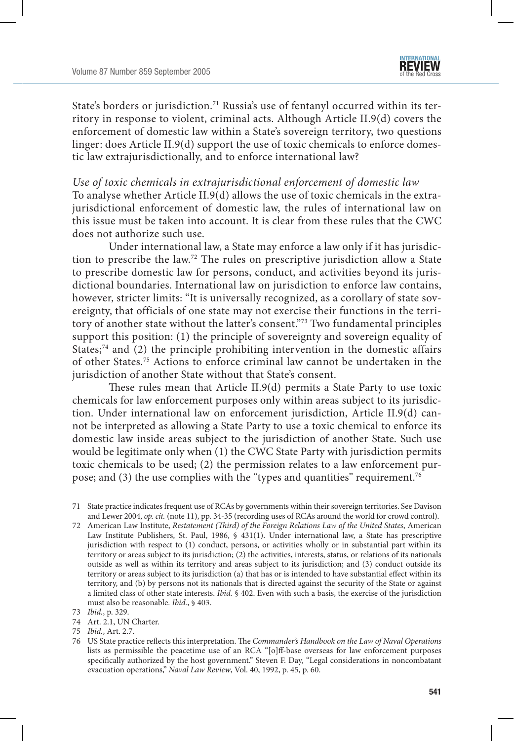

State's borders or jurisdiction.<sup>71</sup> Russia's use of fentanyl occurred within its territory in response to violent, criminal acts. Although Article II.9(d) covers the enforcement of domestic law within a State's sovereign territory, two questions linger: does Article II.9(d) support the use of toxic chemicals to enforce domestic law extrajurisdictionally, and to enforce international law?

*Use of toxic chemicals in extrajurisdictional enforcement of domestic law* To analyse whether Article II.9(d) allows the use of toxic chemicals in the extrajurisdictional enforcement of domestic law, the rules of international law on this issue must be taken into account. It is clear from these rules that the CWC does not authorize such use.

Under international law, a State may enforce a law only if it has jurisdiction to prescribe the law.72 The rules on prescriptive jurisdiction allow a State to prescribe domestic law for persons, conduct, and activities beyond its jurisdictional boundaries. International law on jurisdiction to enforce law contains, however, stricter limits: "It is universally recognized, as a corollary of state sovereignty, that officials of one state may not exercise their functions in the territory of another state without the latter's consent."73 Two fundamental principles support this position: (1) the principle of sovereignty and sovereign equality of States; $74$  and (2) the principle prohibiting intervention in the domestic affairs of other States.75 Actions to enforce criminal law cannot be undertaken in the jurisdiction of another State without that State's consent.

These rules mean that Article II.9(d) permits a State Party to use toxic chemicals for law enforcement purposes only within areas subject to its jurisdiction. Under international law on enforcement jurisdiction, Article II.9(d) cannot be interpreted as allowing a State Party to use a toxic chemical to enforce its domestic law inside areas subject to the jurisdiction of another State. Such use would be legitimate only when (1) the CWC State Party with jurisdiction permits toxic chemicals to be used; (2) the permission relates to a law enforcement purpose; and (3) the use complies with the "types and quantities" requirement.76

- 73 *Ibid.*, p. 329.
- 74 Art. 2.1, UN Charter.
- 75 *Ibid.*, Art. 2.7.
- 76 US State practice reflects this interpretation. The *Commander's Handbook on the Law of Naval Operations* lists as permissible the peacetime use of an RCA "[o]ff -base overseas for law enforcement purposes specifically authorized by the host government." Steven F. Day, "Legal considerations in noncombatant evacuation operations," *Naval Law Review*, Vol. 40, 1992, p. 45, p. 60.

<sup>71</sup> State practice indicates frequent use of RCAs by governments within their sovereign territories. See Davison and Lewer 2004, *op. cit.* (note 11), pp. 34-35 (recording uses of RCAs around the world for crowd control).

<sup>72</sup> American Law Institute, *Restatement (Third) of the Foreign Relations Law of the United States*, American Law Institute Publishers, St. Paul, 1986, § 431(1). Under international law, a State has prescriptive jurisdiction with respect to (1) conduct, persons, or activities wholly or in substantial part within its territory or areas subject to its jurisdiction; (2) the activities, interests, status, or relations of its nationals outside as well as within its territory and areas subject to its jurisdiction; and (3) conduct outside its territory or areas subject to its jurisdiction (a) that has or is intended to have substantial effect within its territory, and (b) by persons not its nationals that is directed against the security of the State or against a limited class of other state interests. *Ibid.* § 402. Even with such a basis, the exercise of the jurisdiction must also be reasonable. *Ibid.*, § 403.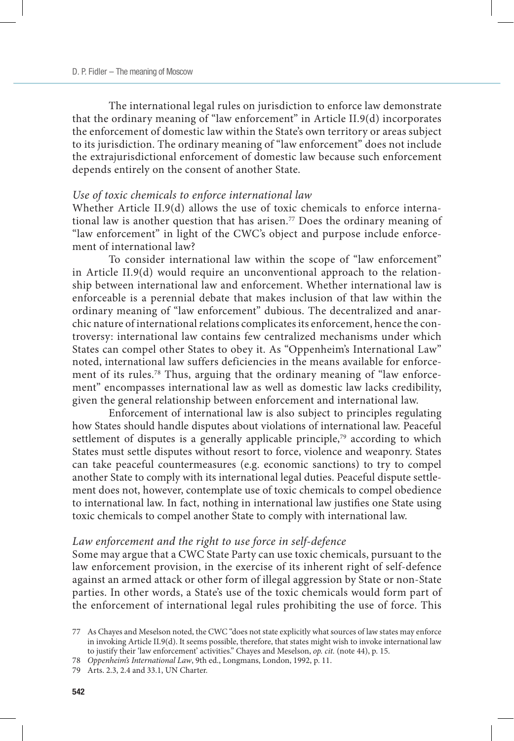The international legal rules on jurisdiction to enforce law demonstrate that the ordinary meaning of "law enforcement" in Article II.9(d) incorporates the enforcement of domestic law within the State's own territory or areas subject to its jurisdiction. The ordinary meaning of "law enforcement" does not include the extrajurisdictional enforcement of domestic law because such enforcement depends entirely on the consent of another State.

#### *Use of toxic chemicals to enforce international law*

Whether Article II.9(d) allows the use of toxic chemicals to enforce international law is another question that has arisen.77 Does the ordinary meaning of "law enforcement" in light of the CWC's object and purpose include enforcement of international law?

To consider international law within the scope of "law enforcement" in Article II.9(d) would require an unconventional approach to the relationship between international law and enforcement. Whether international law is enforceable is a perennial debate that makes inclusion of that law within the ordinary meaning of "law enforcement" dubious. The decentralized and anarchic nature of international relations complicates its enforcement, hence the controversy: international law contains few centralized mechanisms under which States can compel other States to obey it. As "Oppenheim's International Law" noted, international law suffers deficiencies in the means available for enforcement of its rules.78 Thus, arguing that the ordinary meaning of "law enforcement" encompasses international law as well as domestic law lacks credibility, given the general relationship between enforcement and international law.

Enforcement of international law is also subject to principles regulating how States should handle disputes about violations of international law. Peaceful settlement of disputes is a generally applicable principle,<sup>79</sup> according to which States must settle disputes without resort to force, violence and weaponry. States can take peaceful countermeasures (e.g. economic sanctions) to try to compel another State to comply with its international legal duties. Peaceful dispute settlement does not, however, contemplate use of toxic chemicals to compel obedience to international law. In fact, nothing in international law justifies one State using toxic chemicals to compel another State to comply with international law.

#### *Law enforcement and the right to use force in self-defence*

Some may argue that a CWC State Party can use toxic chemicals, pursuant to the law enforcement provision, in the exercise of its inherent right of self-defence against an armed attack or other form of illegal aggression by State or non-State parties. In other words, a State's use of the toxic chemicals would form part of the enforcement of international legal rules prohibiting the use of force. This

<sup>77</sup> As Chayes and Meselson noted, the CWC "does not state explicitly what sources of law states may enforce in invoking Article II.9(d). It seems possible, therefore, that states might wish to invoke international law to justify their 'law enforcement' activities." Chayes and Meselson, *op. cit.* (note 44), p. 15.

<sup>78</sup> *Oppenheim's International Law*, 9th ed., Longmans, London, 1992, p. 11.

<sup>79</sup> Arts. 2.3, 2.4 and 33.1, UN Charter.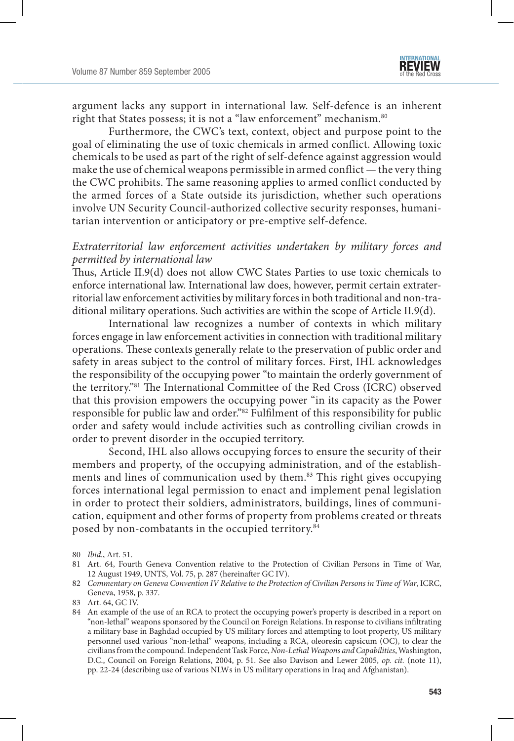

argument lacks any support in international law. Self-defence is an inherent right that States possess; it is not a "law enforcement" mechanism.<sup>80</sup>

Furthermore, the CWC's text, context, object and purpose point to the goal of eliminating the use of toxic chemicals in armed conflict. Allowing toxic chemicals to be used as part of the right of self-defence against aggression would make the use of chemical weapons permissible in armed conflict — the very thing the CWC prohibits. The same reasoning applies to armed conflict conducted by the armed forces of a State outside its jurisdiction, whether such operations involve UN Security Council-authorized collective security responses, humanitarian intervention or anticipatory or pre-emptive self-defence.

## *Extraterritorial law enforcement activities undertaken by military forces and permitted by international law*

Thus, Article II.9(d) does not allow CWC States Parties to use toxic chemicals to enforce international law. International law does, however, permit certain extraterritorial law enforcement activities by military forces in both traditional and non-traditional military operations. Such activities are within the scope of Article II.9(d).

International law recognizes a number of contexts in which military forces engage in law enforcement activities in connection with traditional military operations. These contexts generally relate to the preservation of public order and safety in areas subject to the control of military forces. First, IHL acknowledges the responsibility of the occupying power "to maintain the orderly government of the territory."81 The International Committee of the Red Cross (ICRC) observed that this provision empowers the occupying power "in its capacity as the Power responsible for public law and order."<sup>82</sup> Fulfilment of this responsibility for public order and safety would include activities such as controlling civilian crowds in order to prevent disorder in the occupied territory.

Second, IHL also allows occupying forces to ensure the security of their members and property, of the occupying administration, and of the establishments and lines of communication used by them.83 This right gives occupying forces international legal permission to enact and implement penal legislation in order to protect their soldiers, administrators, buildings, lines of communication, equipment and other forms of property from problems created or threats posed by non-combatants in the occupied territory.<sup>84</sup>

<sup>80</sup> *Ibid.*, Art. 51.

<sup>81</sup> Art. 64, Fourth Geneva Convention relative to the Protection of Civilian Persons in Time of War, 12 August 1949, UNTS, Vol. 75, p. 287 (hereinafter GC IV).

<sup>82</sup> *Commentary on Geneva Convention IV Relative to the Protection of Civilian Persons in Time of War*, ICRC, Geneva, 1958, p. 337.

<sup>83</sup> Art. 64, GC IV.

<sup>84</sup> An example of the use of an RCA to protect the occupying power's property is described in a report on "non-lethal" weapons sponsored by the Council on Foreign Relations. In response to civilians infiltrating a military base in Baghdad occupied by US military forces and attempting to loot property, US military personnel used various "non-lethal" weapons, including a RCA, oleoresin capsicum (OC), to clear the civilians from the compound. Independent Task Force, *Non-Lethal Weapons and Capabilities*, Washington, D.C., Council on Foreign Relations, 2004, p. 51. See also Davison and Lewer 2005, *op. cit.* (note 11), pp. 22-24 (describing use of various NLWs in US military operations in Iraq and Afghanistan).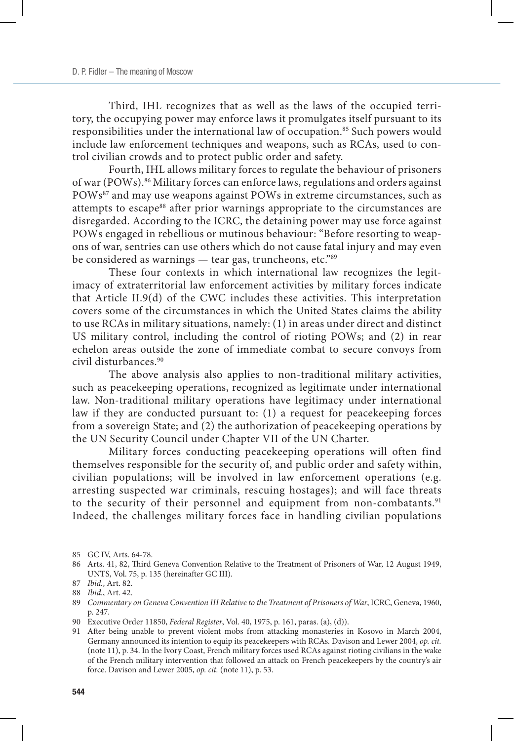Third, IHL recognizes that as well as the laws of the occupied territory, the occupying power may enforce laws it promulgates itself pursuant to its responsibilities under the international law of occupation.85 Such powers would include law enforcement techniques and weapons, such as RCAs, used to control civilian crowds and to protect public order and safety.

Fourth, IHL allows military forces to regulate the behaviour of prisoners of war (POWs).<sup>86</sup> Military forces can enforce laws, regulations and orders against POWs<sup>87</sup> and may use weapons against POWs in extreme circumstances, such as attempts to escape<sup>88</sup> after prior warnings appropriate to the circumstances are disregarded. According to the ICRC, the detaining power may use force against POWs engaged in rebellious or mutinous behaviour: "Before resorting to weapons of war, sentries can use others which do not cause fatal injury and may even be considered as warnings — tear gas, truncheons, etc."89

These four contexts in which international law recognizes the legitimacy of extraterritorial law enforcement activities by military forces indicate that Article II.9(d) of the CWC includes these activities. This interpretation covers some of the circumstances in which the United States claims the ability to use RCAs in military situations, namely: (1) in areas under direct and distinct US military control, including the control of rioting POWs; and (2) in rear echelon areas outside the zone of immediate combat to secure convoys from civil disturbances.90

The above analysis also applies to non-traditional military activities, such as peacekeeping operations, recognized as legitimate under international law. Non-traditional military operations have legitimacy under international law if they are conducted pursuant to: (1) a request for peacekeeping forces from a sovereign State; and (2) the authorization of peacekeeping operations by the UN Security Council under Chapter VII of the UN Charter.

Military forces conducting peacekeeping operations will often find themselves responsible for the security of, and public order and safety within, civilian populations; will be involved in law enforcement operations (e.g. arresting suspected war criminals, rescuing hostages); and will face threats to the security of their personnel and equipment from non-combatants.<sup>91</sup> Indeed, the challenges military forces face in handling civilian populations

<sup>85</sup> GC IV, Arts. 64-78.

<sup>86</sup> Arts. 41, 82, Third Geneva Convention Relative to the Treatment of Prisoners of War, 12 August 1949, UNTS, Vol. 75, p. 135 (hereinafter GC III).

<sup>87</sup> *Ibid.*, Art. 82.

<sup>88</sup> *Ibid.*, Art. 42.

<sup>89</sup> *Commentary on Geneva Convention III Relative to the Treatment of Prisoners of War*, ICRC, Geneva, 1960, p. 247.

<sup>90</sup> Executive Order 11850, *Federal Register*, Vol. 40, 1975, p. 161, paras. (a), (d)).

<sup>91</sup> After being unable to prevent violent mobs from attacking monasteries in Kosovo in March 2004, Germany announced its intention to equip its peacekeepers with RCAs. Davison and Lewer 2004, *op. cit.* (note 11), p. 34. In the Ivory Coast, French military forces used RCAs against rioting civilians in the wake of the French military intervention that followed an attack on French peacekeepers by the country's air force. Davison and Lewer 2005, *op. cit.* (note 11), p. 53.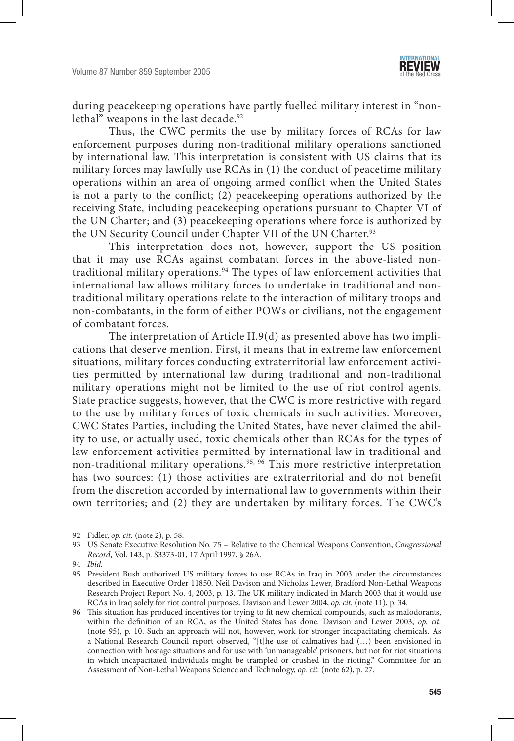

during peacekeeping operations have partly fuelled military interest in "nonlethal" weapons in the last decade.<sup>92</sup>

Thus, the CWC permits the use by military forces of RCAs for law enforcement purposes during non-traditional military operations sanctioned by international law. This interpretation is consistent with US claims that its military forces may lawfully use  $RCAs$  in (1) the conduct of peacetime military operations within an area of ongoing armed conflict when the United States is not a party to the conflict; (2) peacekeeping operations authorized by the receiving State, including peacekeeping operations pursuant to Chapter VI of the UN Charter; and (3) peacekeeping operations where force is authorized by the UN Security Council under Chapter VII of the UN Charter.<sup>93</sup>

This interpretation does not, however, support the US position that it may use RCAs against combatant forces in the above-listed nontraditional military operations.<sup>94</sup> The types of law enforcement activities that international law allows military forces to undertake in traditional and nontraditional military operations relate to the interaction of military troops and non-combatants, in the form of either POWs or civilians, not the engagement of combatant forces.

The interpretation of Article II.9(d) as presented above has two implications that deserve mention. First, it means that in extreme law enforcement situations, military forces conducting extraterritorial law enforcement activities permitted by international law during traditional and non-traditional military operations might not be limited to the use of riot control agents. State practice suggests, however, that the CWC is more restrictive with regard to the use by military forces of toxic chemicals in such activities. Moreover, CWC States Parties, including the United States, have never claimed the ability to use, or actually used, toxic chemicals other than RCAs for the types of law enforcement activities permitted by international law in traditional and non-traditional military operations.95, 96 This more restrictive interpretation has two sources: (1) those activities are extraterritorial and do not benefit from the discretion accorded by international law to governments within their own territories; and (2) they are undertaken by military forces. The CWC's

96 This situation has produced incentives for trying to fit new chemical compounds, such as malodorants, within the definition of an RCA, as the United States has done. Davison and Lewer 2003, op. cit. (note 95), p. 10. Such an approach will not, however, work for stronger incapacitating chemicals. As a National Research Council report observed, "[t]he use of calmatives had (…) been envisioned in connection with hostage situations and for use with 'unmanageable' prisoners, but not for riot situations in which incapacitated individuals might be trampled or crushed in the rioting." Committee for an Assessment of Non-Lethal Weapons Science and Technology, *op. cit.* (note 62), p. 27.

<sup>92</sup> Fidler, *op. cit.* (note 2), p. 58.

<sup>93</sup> US Senate Executive Resolution No. 75 – Relative to the Chemical Weapons Convention, *Congressional Record*, Vol. 143, p. S3373-01, 17 April 1997, § 26A.

<sup>94</sup> *Ibid.*

<sup>95</sup> President Bush authorized US military forces to use RCAs in Iraq in 2003 under the circumstances described in Executive Order 11850. Neil Davison and Nicholas Lewer, Bradford Non-Lethal Weapons Research Project Report No. 4, 2003, p. 13. The UK military indicated in March 2003 that it would use RCAs in Iraq solely for riot control purposes. Davison and Lewer 2004, *op. cit.* (note 11), p. 34.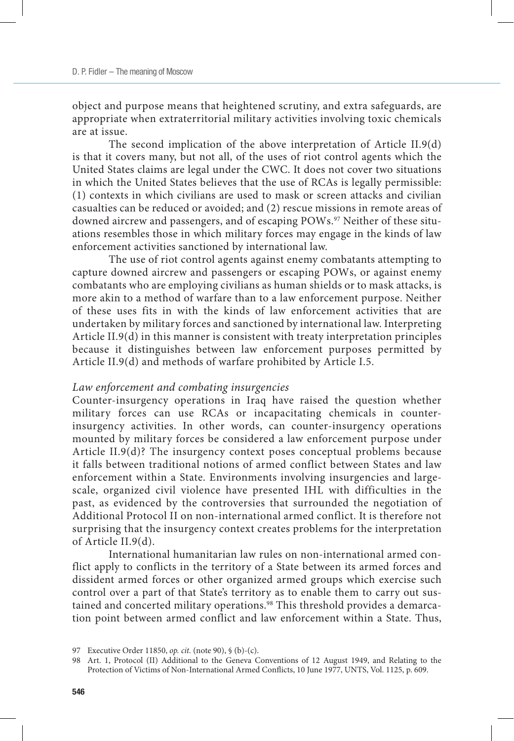object and purpose means that heightened scrutiny, and extra safeguards, are appropriate when extraterritorial military activities involving toxic chemicals are at issue.

The second implication of the above interpretation of Article II.9(d) is that it covers many, but not all, of the uses of riot control agents which the United States claims are legal under the CWC. It does not cover two situations in which the United States believes that the use of RCAs is legally permissible: (1) contexts in which civilians are used to mask or screen attacks and civilian casualties can be reduced or avoided; and (2) rescue missions in remote areas of downed aircrew and passengers, and of escaping POWs.97 Neither of these situations resembles those in which military forces may engage in the kinds of law enforcement activities sanctioned by international law.

The use of riot control agents against enemy combatants attempting to capture downed aircrew and passengers or escaping POWs, or against enemy combatants who are employing civilians as human shields or to mask attacks, is more akin to a method of warfare than to a law enforcement purpose. Neither of these uses fits in with the kinds of law enforcement activities that are undertaken by military forces and sanctioned by international law. Interpreting Article II.9(d) in this manner is consistent with treaty interpretation principles because it distinguishes between law enforcement purposes permitted by Article II.9(d) and methods of warfare prohibited by Article I.5.

# *Law enforcement and combating insurgencies*

Counter-insurgency operations in Iraq have raised the question whether military forces can use RCAs or incapacitating chemicals in counterinsurgency activities. In other words, can counter-insurgency operations mounted by military forces be considered a law enforcement purpose under Article II.9(d)? The insurgency context poses conceptual problems because it falls between traditional notions of armed conflict between States and law enforcement within a State. Environments involving insurgencies and largescale, organized civil violence have presented IHL with difficulties in the past, as evidenced by the controversies that surrounded the negotiation of Additional Protocol II on non-international armed conflict. It is therefore not surprising that the insurgency context creates problems for the interpretation of Article II.9(d).

International humanitarian law rules on non-international armed conflict apply to conflicts in the territory of a State between its armed forces and dissident armed forces or other organized armed groups which exercise such control over a part of that State's territory as to enable them to carry out sustained and concerted military operations.<sup>98</sup> This threshold provides a demarcation point between armed conflict and law enforcement within a State. Thus,

<sup>97</sup> Executive Order 11850, *op. cit.* (note 90), § (b)-(c).

<sup>98</sup> Art. 1, Protocol (II) Additional to the Geneva Conventions of 12 August 1949, and Relating to the Protection of Victims of Non-International Armed Conflicts, 10 June 1977, UNTS, Vol. 1125, p. 609.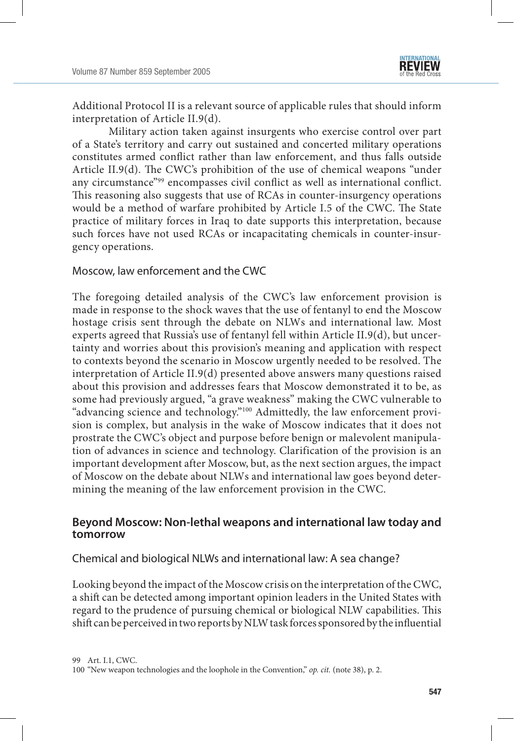

Additional Protocol II is a relevant source of applicable rules that should inform interpretation of Article II.9(d).

Military action taken against insurgents who exercise control over part of a State's territory and carry out sustained and concerted military operations constitutes armed conflict rather than law enforcement, and thus falls outside Article II.9(d). The CWC's prohibition of the use of chemical weapons "under any circumstance"<sup>99</sup> encompasses civil conflict as well as international conflict. This reasoning also suggests that use of RCAs in counter-insurgency operations would be a method of warfare prohibited by Article I.5 of the CWC. The State practice of military forces in Iraq to date supports this interpretation, because such forces have not used RCAs or incapacitating chemicals in counter-insurgency operations.

Moscow, law enforcement and the CWC

The foregoing detailed analysis of the CWC's law enforcement provision is made in response to the shock waves that the use of fentanyl to end the Moscow hostage crisis sent through the debate on NLWs and international law. Most experts agreed that Russia's use of fentanyl fell within Article II.9(d), but uncertainty and worries about this provision's meaning and application with respect to contexts beyond the scenario in Moscow urgently needed to be resolved. The interpretation of Article II.9(d) presented above answers many questions raised about this provision and addresses fears that Moscow demonstrated it to be, as some had previously argued, "a grave weakness" making the CWC vulnerable to "advancing science and technology."100 Admittedly, the law enforcement provision is complex, but analysis in the wake of Moscow indicates that it does not prostrate the CWC's object and purpose before benign or malevolent manipulation of advances in science and technology. Clarification of the provision is an important development after Moscow, but, as the next section argues, the impact of Moscow on the debate about NLWs and international law goes beyond determining the meaning of the law enforcement provision in the CWC.

# **Beyond Moscow: Non-lethal weapons and international law today and tomorrow**

Chemical and biological NLWs and international law: A sea change?

Looking beyond the impact of the Moscow crisis on the interpretation of the CWC, a shift can be detected among important opinion leaders in the United States with regard to the prudence of pursuing chemical or biological NLW capabilities. This shift can be perceived in two reports by NLW task forces sponsored by the influential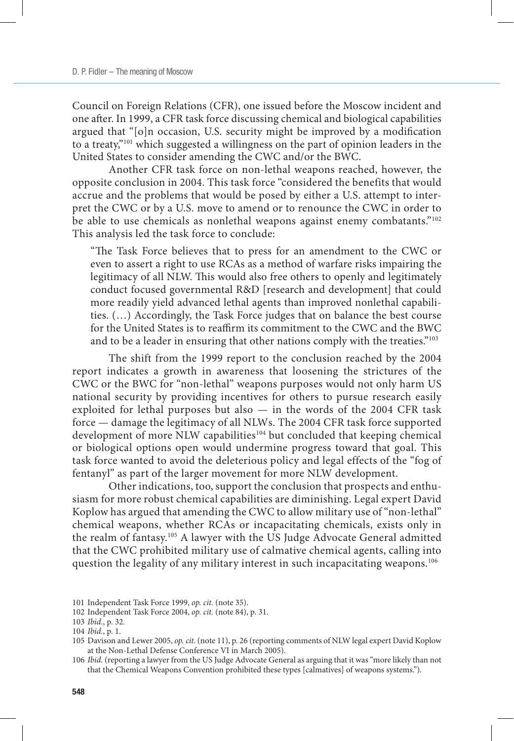Council on Foreign Relations (CFR), one issued before the Moscow incident and one aft er. In 1999, a CFR task force discussing chemical and biological capabilities argued that "[o]n occasion, U.S. security might be improved by a modification to a treaty,"101 which suggested a willingness on the part of opinion leaders in the United States to consider amending the CWC and/or the BWC.

Another CFR task force on non-lethal weapons reached, however, the opposite conclusion in 2004. This task force "considered the benefits that would accrue and the problems that would be posed by either a U.S. attempt to interpret the CWC or by a U.S. move to amend or to renounce the CWC in order to be able to use chemicals as nonlethal weapons against enemy combatants."<sup>102</sup> This analysis led the task force to conclude:

"The Task Force believes that to press for an amendment to the CWC or even to assert a right to use RCAs as a method of warfare risks impairing the legitimacy of all NLW. This would also free others to openly and legitimately conduct focused governmental R&D [research and development] that could more readily yield advanced lethal agents than improved nonlethal capabilities. (…) Accordingly, the Task Force judges that on balance the best course for the United States is to reaffirm its commitment to the CWC and the BWC and to be a leader in ensuring that other nations comply with the treaties."<sup>103</sup>

The shift from the 1999 report to the conclusion reached by the 2004 report indicates a growth in awareness that loosening the strictures of the CWC or the BWC for "non-lethal" weapons purposes would not only harm US national security by providing incentives for others to pursue research easily exploited for lethal purposes but also — in the words of the 2004 CFR task force — damage the legitimacy of all NLWs. The 2004 CFR task force supported development of more NLW capabilities<sup>104</sup> but concluded that keeping chemical or biological options open would undermine progress toward that goal. This task force wanted to avoid the deleterious policy and legal effects of the "fog of fentanyl" as part of the larger movement for more NLW development.

Other indications, too, support the conclusion that prospects and enthusiasm for more robust chemical capabilities are diminishing. Legal expert David Koplow has argued that amending the CWC to allow military use of "non-lethal" chemical weapons, whether RCAs or incapacitating chemicals, exists only in the realm of fantasy.105 A lawyer with the US Judge Advocate General admitted that the CWC prohibited military use of calmative chemical agents, calling into question the legality of any military interest in such incapacitating weapons.<sup>106</sup>

<sup>101</sup> Independent Task Force 1999, *op. cit.* (note 35).

<sup>102</sup> Independent Task Force 2004, *op. cit.* (note 84), p. 31.

<sup>103</sup> *Ibid.*, p. 32.

<sup>104</sup> *Ibid.*, p. 1.

<sup>105</sup> Davison and Lewer 2005, *op. cit.* (note 11), p. 26 (reporting comments of NLW legal expert David Koplow at the Non-Lethal Defense Conference VI in March 2005).

<sup>106</sup> *Ibid.* (reporting a lawyer from the US Judge Advocate General as arguing that it was "more likely than not that the Chemical Weapons Convention prohibited these types [calmatives] of weapons systems.").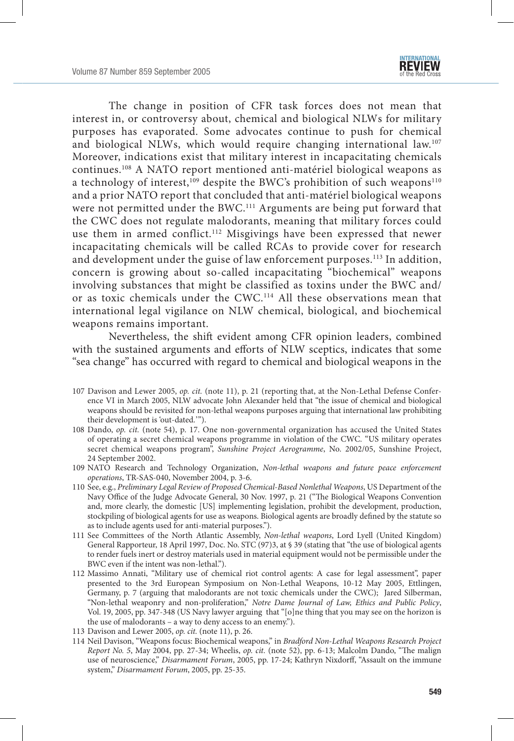

The change in position of CFR task forces does not mean that interest in, or controversy about, chemical and biological NLWs for military purposes has evaporated. Some advocates continue to push for chemical and biological NLWs, which would require changing international law.107 Moreover, indications exist that military interest in incapacitating chemicals continues.108 A NATO report mentioned anti-matériel biological weapons as a technology of interest,<sup>109</sup> despite the BWC's prohibition of such weapons<sup>110</sup> and a prior NATO report that concluded that anti-matériel biological weapons were not permitted under the BWC.<sup>111</sup> Arguments are being put forward that the CWC does not regulate malodorants, meaning that military forces could use them in armed conflict.<sup>112</sup> Misgivings have been expressed that newer incapacitating chemicals will be called RCAs to provide cover for research and development under the guise of law enforcement purposes.<sup>113</sup> In addition, concern is growing about so-called incapacitating "biochemical" weapons involving substances that might be classified as toxins under the BWC and/ or as toxic chemicals under the CWC.114 All these observations mean that international legal vigilance on NLW chemical, biological, and biochemical weapons remains important.

Nevertheless, the shift evident among CFR opinion leaders, combined with the sustained arguments and efforts of NLW sceptics, indicates that some "sea change" has occurred with regard to chemical and biological weapons in the

- 107 Davison and Lewer 2005, *op. cit.* (note 11), p. 21 (reporting that, at the Non-Lethal Defense Conference VI in March 2005, NLW advocate John Alexander held that "the issue of chemical and biological weapons should be revisited for non-lethal weapons purposes arguing that international law prohibiting their development is 'out-dated.'").
- 108 Dando, *op. cit.* (note 54), p. 17. One non-governmental organization has accused the United States of operating a secret chemical weapons programme in violation of the CWC. "US military operates secret chemical weapons program", *Sunshine Project Aerogramme*, No. 2002/05, Sunshine Project, 24 September 2002.
- 109 NATO Research and Technology Organization, *Non-lethal weapons and future peace enforcement operations*, TR-SAS-040, November 2004, p. 3-6.
- 110 See, e.g., *Preliminary Legal Review of Proposed Chemical-Based Nonlethal Weapons*, US Department of the Navy Office of the Judge Advocate General, 30 Nov. 1997, p. 21 ("The Biological Weapons Convention and, more clearly, the domestic [US] implementing legislation, prohibit the development, production, stockpiling of biological agents for use as weapons. Biological agents are broadly defined by the statute so as to include agents used for anti-material purposes.").
- 111 See Committees of the North Atlantic Assembly, *Non-lethal weapons*, Lord Lyell (United Kingdom) General Rapporteur, 18 April 1997, Doc. No. STC (97)3, at § 39 (stating that "the use of biological agents to render fuels inert or destroy materials used in material equipment would not be permissible under the BWC even if the intent was non-lethal.").
- 112 Massimo Annati, "Military use of chemical riot control agents: A case for legal assessment", paper presented to the 3rd European Symposium on Non-Lethal Weapons, 10-12 May 2005, Ettlingen, Germany, p. 7 (arguing that malodorants are not toxic chemicals under the CWC); Jared Silberman, "Non-lethal weaponry and non-proliferation," *Notre Dame Journal of Law, Ethics and Public Policy*, Vol. 19, 2005, pp. 347-348 (US Navy lawyer arguing that "[o]ne thing that you may see on the horizon is the use of malodorants – a way to deny access to an enemy.").
- 113 Davison and Lewer 2005, *op. cit.* (note 11), p. 26.
- 114 Neil Davison, "Weapons focus: Biochemical weapons," in *Bradford Non-Lethal Weapons Research Project Report No. 5*, May 2004, pp. 27-34; Wheelis, *op. cit.* (note 52), pp. 6-13; Malcolm Dando, "The malign use of neuroscience," *Disarmament Forum*, 2005, pp. 17-24; Kathryn Nixdorff, "Assault on the immune system," *Disarmament Forum*, 2005, pp. 25-35.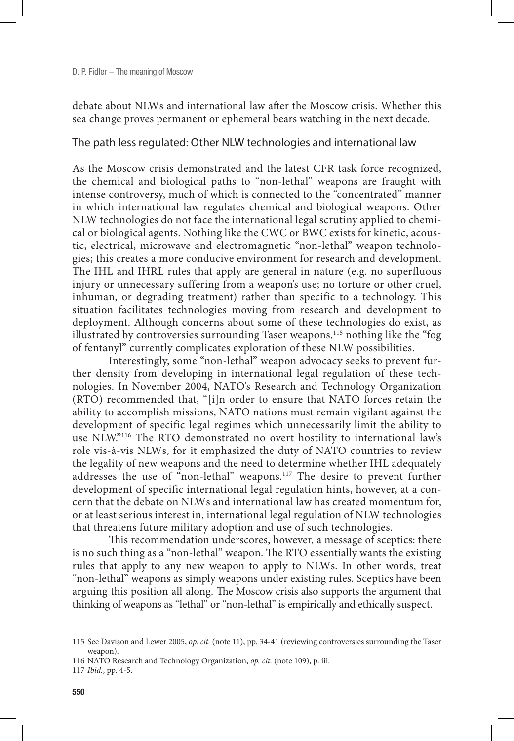debate about NLWs and international law after the Moscow crisis. Whether this sea change proves permanent or ephemeral bears watching in the next decade.

#### The path less regulated: Other NLW technologies and international law

As the Moscow crisis demonstrated and the latest CFR task force recognized, the chemical and biological paths to "non-lethal" weapons are fraught with intense controversy, much of which is connected to the "concentrated" manner in which international law regulates chemical and biological weapons. Other NLW technologies do not face the international legal scrutiny applied to chemical or biological agents. Nothing like the CWC or BWC exists for kinetic, acoustic, electrical, microwave and electromagnetic "non-lethal" weapon technologies; this creates a more conducive environment for research and development. The IHL and IHRL rules that apply are general in nature (e.g. no superfluous injury or unnecessary suffering from a weapon's use; no torture or other cruel, inhuman, or degrading treatment) rather than specific to a technology. This situation facilitates technologies moving from research and development to deployment. Although concerns about some of these technologies do exist, as illustrated by controversies surrounding Taser weapons,<sup>115</sup> nothing like the "fog of fentanyl" currently complicates exploration of these NLW possibilities.

Interestingly, some "non-lethal" weapon advocacy seeks to prevent further density from developing in international legal regulation of these technologies. In November 2004, NATO's Research and Technology Organization (RTO) recommended that, "[i]n order to ensure that NATO forces retain the ability to accomplish missions, NATO nations must remain vigilant against the development of specific legal regimes which unnecessarily limit the ability to use NLW."116 The RTO demonstrated no overt hostility to international law's role vis-à-vis NLWs, for it emphasized the duty of NATO countries to review the legality of new weapons and the need to determine whether IHL adequately addresses the use of "non-lethal" weapons.<sup>117</sup> The desire to prevent further development of specific international legal regulation hints, however, at a concern that the debate on NLWs and international law has created momentum for, or at least serious interest in, international legal regulation of NLW technologies that threatens future military adoption and use of such technologies.

This recommendation underscores, however, a message of sceptics: there is no such thing as a "non-lethal" weapon. The RTO essentially wants the existing rules that apply to any new weapon to apply to NLWs. In other words, treat "non-lethal" weapons as simply weapons under existing rules. Sceptics have been arguing this position all along. The Moscow crisis also supports the argument that thinking of weapons as "lethal" or "non-lethal" is empirically and ethically suspect.

<sup>115</sup> See Davison and Lewer 2005, *op. cit.* (note 11), pp. 34-41 (reviewing controversies surrounding the Taser weapon).

<sup>116</sup> NATO Research and Technology Organization, *op. cit.* (note 109), p. iii.

<sup>117</sup> *Ibid.*, pp. 4-5.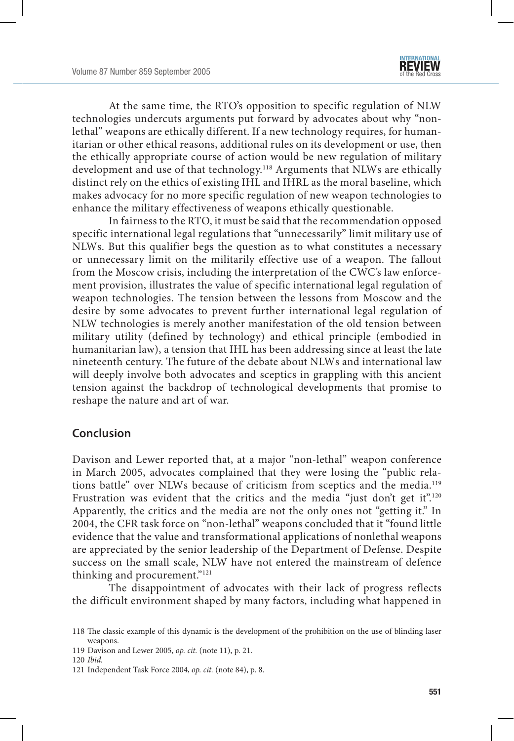

At the same time, the RTO's opposition to specific regulation of NLW technologies undercuts arguments put forward by advocates about why "nonlethal" weapons are ethically different. If a new technology requires, for humanitarian or other ethical reasons, additional rules on its development or use, then the ethically appropriate course of action would be new regulation of military development and use of that technology.118 Arguments that NLWs are ethically distinct rely on the ethics of existing IHL and IHRL as the moral baseline, which makes advocacy for no more specific regulation of new weapon technologies to enhance the military effectiveness of weapons ethically questionable.

In fairness to the RTO, it must be said that the recommendation opposed specific international legal regulations that "unnecessarily" limit military use of NLWs. But this qualifier begs the question as to what constitutes a necessary or unnecessary limit on the militarily effective use of a weapon. The fallout from the Moscow crisis, including the interpretation of the CWC's law enforcement provision, illustrates the value of specific international legal regulation of weapon technologies. The tension between the lessons from Moscow and the desire by some advocates to prevent further international legal regulation of NLW technologies is merely another manifestation of the old tension between military utility (defined by technology) and ethical principle (embodied in humanitarian law), a tension that IHL has been addressing since at least the late nineteenth century. The future of the debate about NLWs and international law will deeply involve both advocates and sceptics in grappling with this ancient tension against the backdrop of technological developments that promise to reshape the nature and art of war.

### **Conclusion**

Davison and Lewer reported that, at a major "non-lethal" weapon conference in March 2005, advocates complained that they were losing the "public relations battle" over NLWs because of criticism from sceptics and the media.<sup>119</sup> Frustration was evident that the critics and the media "just don't get it".<sup>120</sup> Apparently, the critics and the media are not the only ones not "getting it." In 2004, the CFR task force on "non-lethal" weapons concluded that it "found little evidence that the value and transformational applications of nonlethal weapons are appreciated by the senior leadership of the Department of Defense. Despite success on the small scale, NLW have not entered the mainstream of defence thinking and procurement."<sup>121</sup>

The disappointment of advocates with their lack of progress reflects the difficult environment shaped by many factors, including what happened in

<sup>118</sup> The classic example of this dynamic is the development of the prohibition on the use of blinding laser weapons.

<sup>119</sup> Davison and Lewer 2005, *op. cit.* (note 11), p. 21.

<sup>120</sup> *Ibid.*

<sup>121</sup> Independent Task Force 2004, *op. cit.* (note 84), p. 8.